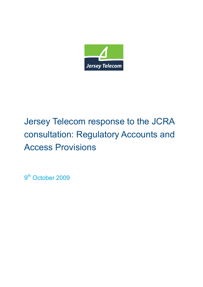

# Jersey Telecom response to the JCRA consultation: Regulatory Accounts and Access Provisions

9<sup>th</sup> October 2009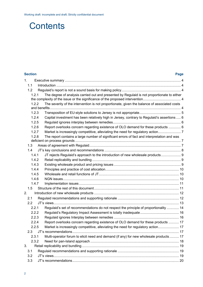# **Contents**

# **Section Page**  [1.](#page-3-0) [Executive summary ........................................................................................................................... 4](#page-3-0) [1.1](#page-3-0) [Introduction .................................................................................................................................... 4](#page-3-0) [1.2](#page-3-0) [Regulaid's report is not a sound basis for making policy............................................................... 4](#page-3-0) [1.2.1](#page-3-0) [The degree of analysis carried out and presented by Regulaid is not proportionate to either](#page-3-0)  [the complexity of the issue or the significance of the proposed intervention........................................ 4](#page-3-0) [1.2.2](#page-3-0) [The severity of the intervention is not proportionate, given the balance of associated costs](#page-3-0)  [and benefits........................................................................................................................................... 4](#page-3-0) [1.2.3](#page-4-0) [Transposition of EU-style solutions to Jersey is not appropriate............................................ 5](#page-4-0) [1.2.4](#page-5-0) [Capital investment has been relatively high in Jersey, contrary to Regulaid's assertions ..... 6](#page-5-0) [1.2.5](#page-5-0) [Regulaid ignores interplay between remedies........................................................................ 6](#page-5-0) [1.2.6](#page-5-0) [Report overlooks concern regarding existence of OLO demand for these products ............. 6](#page-5-0) [1.2.7](#page-6-0) [Market is increasingly competitive, alleviating the need for regulatory action........................ 7](#page-6-0) [1.2.8](#page-6-0) [The report contains a large number of significant errors of fact and interpretation and was](#page-6-0)  [deficient on process grounds ................................................................................................................ 7](#page-6-0) [1.3](#page-6-0) [Areas of agreement with Regulaid................................................................................................. 7](#page-6-0) [1.4](#page-7-0) [JT's key conclusions and recommendations ................................................................................. 8](#page-7-0) [1.4.1](#page-8-0) [JT rejects Regulaid's approach to the introduction of new wholesale products..................... 9](#page-8-0) [1.4.2](#page-8-0) [Retail replicability and bundling ..............................................................................................](#page-8-0) 9 [1.4.3](#page-8-0) [Existing wholesale product and pricing issues ....................................................................... 9](#page-8-0) [1.4.4](#page-9-0) [Principles and practice of cost allocation.............................................................................. 10](#page-9-0) [1.4.5](#page-9-0) [Wholesale and retail functions of JT..................................................................................... 10](#page-9-0) [1.4.6](#page-9-0) [NGN issues........................................................................................................................... 10](#page-9-0) [1.4.7](#page-10-0) [Implementation issues ..........................................................................................................](#page-10-0) 11 [1.5](#page-10-0) [Structure of the rest of this document.......................................................................................... 11](#page-10-0) [2.](#page-11-0) [Introduction of new wholesale products .......................................................................................... 12](#page-11-0) [2.1](#page-11-0) [Regulaid recommendations and supporting rationale ................................................................. 12](#page-11-0) [2.2](#page-12-0) [JT's views..................................................................................................................................... 13](#page-12-0) [2.2.1](#page-13-0) [Regulaid's set of recommendations do not respect the principle of proportionality ............. 14](#page-13-0) [2.2.2](#page-15-0) [Regulaid's Regulatory Impact Assessment is totally inadequate......................................... 16](#page-15-0) [2.2.3](#page-15-0) [Regulaid ignores Interplay between remedies ..................................................................... 16](#page-15-0) [2.2.4](#page-16-0) [Report overlooks concern regarding existence of OLO demand for these products ........... 17](#page-16-0) [2.2.5](#page-16-0) [Market is increasingly competitive, alleviating the need for regulatory action...................... 17](#page-16-0) [2.3](#page-16-0) [JT's recommendations................................................................................................................. 17](#page-16-0) [2.3.1](#page-16-0) [Multi-operator forum to elicit need and demand \(if any\) for new wholesale products.......... 17](#page-16-0) [2.3.2](#page-17-0) [Need for pan-Island approach .............................................................................................. 18](#page-17-0) [3.](#page-18-0) [Retail replicability and bundling....................................................................................................... 19](#page-18-0) [3.1](#page-18-0) [Regulaid recommendations and supporting rationale ................................................................. 19](#page-18-0) [3.2](#page-18-0) [JT's views..................................................................................................................................... 19](#page-18-0) [3.3](#page-19-0) [JT's recommendations................................................................................................................. 20](#page-19-0)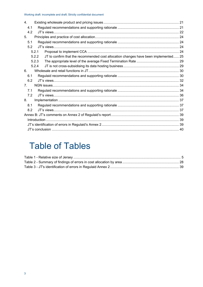| 4.                             |                                                                                              |  |  |  |  |
|--------------------------------|----------------------------------------------------------------------------------------------|--|--|--|--|
|                                | 4.1                                                                                          |  |  |  |  |
|                                | 4.2                                                                                          |  |  |  |  |
| 5 <sub>1</sub>                 |                                                                                              |  |  |  |  |
|                                | 5.1                                                                                          |  |  |  |  |
|                                | 5.2                                                                                          |  |  |  |  |
|                                | 5.2.1                                                                                        |  |  |  |  |
|                                | JT to confirm that the recommended cost allocation changes have been implemented 25<br>5.2.2 |  |  |  |  |
|                                | 5.2.3                                                                                        |  |  |  |  |
|                                | 5.2.4                                                                                        |  |  |  |  |
| 6.                             |                                                                                              |  |  |  |  |
|                                | 6.1                                                                                          |  |  |  |  |
|                                | 6.2                                                                                          |  |  |  |  |
| $7_{\scriptscriptstyle{\sim}}$ |                                                                                              |  |  |  |  |
|                                | 7.1                                                                                          |  |  |  |  |
|                                | 7.2                                                                                          |  |  |  |  |
| 8.                             |                                                                                              |  |  |  |  |
|                                | 8.1                                                                                          |  |  |  |  |
|                                | 8.2                                                                                          |  |  |  |  |
|                                |                                                                                              |  |  |  |  |
|                                |                                                                                              |  |  |  |  |
|                                |                                                                                              |  |  |  |  |
|                                |                                                                                              |  |  |  |  |

# **Table of Tables**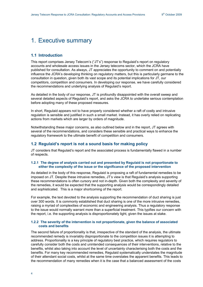# <span id="page-3-0"></span>1. Executive summary

## **1.1 Introduction**

This report comprises Jersey Telecom's ("JT's") response to Regulaid's report on regulatory accounts and wholesale access issues in the Jersey telecoms sector, which the JCRA have published for consultation. As always, JT appreciates the opportunity to comment on and potentially influence the JCRA's developing thinking on regulatory matters, but this is particularly germane to the consultation in question, given both its vast scope and its potential implications for JT, our competitors, competition and consumers. In developing our response, we have carefully considered the recommendations and underlying analysis of Regulaid's report.

As detailed in the body of our response, JT is profoundly disappointed with the overall sweep and several detailed aspects of Regulaid's report, and asks the JCRA to undertake serious contemplation before adopting many of these proposed measures.

In short, Regulaid appears not to have properly considered whether a raft of costly and intrusive regulation is sensible and justified in such a small market. Instead, it has overly relied on replicating actions from markets which are larger by orders of magnitude.

Notwithstanding these major concerns, as also outlined below and in the report, JT agrees with several of the recommendations, and considers these sensible and practical ways to enhance the regulatory framework to the ultimate benefit of competition and consumers.

# **1.2 Regulaid's report is not a sound basis for making policy**

JT considers that Regulaid's report and the associated process is fundamentally flawed in a number of respects.

### **1.2.1 The degree of analysis carried out and presented by Regulaid is not proportionate to either the complexity of the issue or the significance of the proposed intervention**

As detailed in the body of this response, Regulaid is proposing a raft of fundamental remedies to be imposed on JT. Despite these intrusive remedies, JT's view is that Regulaid's analysis supporting these recommendations is often cursory and not in-depth. Given both the complexity and severity of the remedies, it would be expected that the supporting analysis would be correspondingly detailed and sophisticated. This is a major shortcoming of the report.

For example, the text devoted to the analysis supporting the recommendation of duct sharing is just over 300 words. It is commonly established that duct sharing is one of the more intrusive remedies, raising a myriad of complexities of economic and engineering analysis. Thus a regulatory response to the issue would normally warrant more than a superficial treatment. This typifies our concern with the report, i.e. the supporting analysis is disproportionately light, given the issues at stake.

### **1.2.2 The severity of the intervention is not proportionate, given the balance of associated costs and benefits**

The second failure of proportionality is that, irrespective of the standard of the analysis, the ultimate recommended remedy is invariably disproportionate to the competition issues it is attempting to address. Proportionality is a key principle of regulatory best practice, which requires regulators to carefully consider both the costs and unintended consequences of their interventions, relative to the benefits, whilst also taking into account the level of uncertainty characterising both the costs and the benefits. For many key recommended remedies, Regulaid systematically understates the magnitude of their attendant social costs, whilst at the same time overstates the apparent benefits. This leads to the recommendation of many remedies when it is the case that a balanced assessment of the costs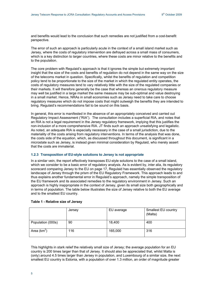<span id="page-4-0"></span>and benefits would lead to the conclusion that such remedies are not justified from a cost-benefit perspective.

The error of such an approach is particularly acute in the context of a small island market such as Jersey, where the costs of regulatory intervention are defrayed across a small mass of consumers, which is a key distinction to larger countries, where these costs are minor relative to the benefits and to the population.

The core problem with Regulaid's approach is that it ignores the simple but extremely important insight that the size of the costs and benefits of regulation do not depend in the same way on the size of the telecoms market in question. Specifically, whilst the benefits of regulation and competition policy tend to be proportionate to the size of the market in which the regulated entity operates, the costs of regulatory measures tend to vary relatively little with the size of the regulated companies or their markets. It will therefore generally be the case that whereas an onerous regulatory measure may well be justified in a large market the same measure may be sub-optimal and value destroying in a small market. Hence, NRAs in small economies such as Jersey need to take care to choose regulatory measures which do not impose costs that might outweigh the benefits they are intended to bring. Regulaid's recommendations fail to be sound on this basis.

In general, this error is manifested in the absence of an appropriately conceived and carried out Regulatory Impact Assessment ("RIA"). The consultation includes a superficial RIA, and notes that an RIA is not a legal requirement in the Jersey regulatory framework, implying that this justifies the non-inclusion of a more comprehensive RIA. JT finds such an approach unsatisfying and legalistic. As noted, an adequate RIA is especially necessary in the case of a small jurisdiction, due to the materiality of the costs arising from regulatory interventions. In terms of the analysis that was done, the costs side of the equation, which, as discussed throughout this document, is significant in a microstate such as Jersey, is instead given minimal consideration by Regulaid, who merely assert that the costs are immaterial.

### **1.2.3 Transposition of EU-style solutions to Jersey is not appropriate**

In a similar vein, the report effectively transposes EU-style solutions to the case of a small island, which we consider to be a basic error of regulatory analysis. As is evident by, inter alia, its regulatory scorecard comparing Jersey to the EU on page 17, Regulaid has essentially observed the regulatory landscape of Jersey through the prism of the EU Regulatory Framework. This approach leads to and thus explains another fundamental error in Regulaid's approach, namely the simple transposition of the EU framework and its associated remedies to the regulatory environment in Jersey. Such an approach is highly inappropriate in the context of Jersey, given its small size both geographically and in terms of population. The table below illustrates the size of Jersey relative to both the EU average and to the smallest EU country.

|                   | Jersey | EU average | Smallest EU country<br>(Malta) |
|-------------------|--------|------------|--------------------------------|
| Population (000s) | 90     | 18,400     | 400                            |
| Area $(km^2)$     | 116    | 165,000    | 316                            |

#### **Table 1 - Relative size of Jersey**

This highlights in stark relief the relatively small size of Jersey; the average population for an EU country is 200 times larger than that of Jersey. It should also be appreciated that, whilst Malta is (only) around 4.5 times larger than Jersey in population, and Luxembourg of a similar size, the next smallest EU country is Estonia, with a population of over 1.3 million, an order of magnitude greater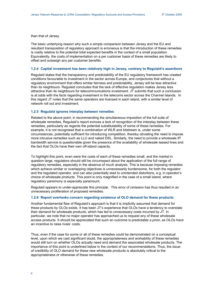<span id="page-5-0"></span>than that of Jersey.

The basic underlying reason why such a simple comparison between Jersey and the EU and resultant transposition of regulatory approach is erroneous is that the introduction of these remedies is costly relative to the potential total expected benefits in the context of a small population. Equivalently, the costs of implementation on a per customer basis of these remedies are likely to offset and outweigh any per customer benefits.

#### **1.2.4 Capital investment has been relatively high in Jersey, contrary to Regulaid's assertions**

Regulaid states that the transparency and predictability of the EU regulatory framework has created conditions favourable to investment in the sector across Europe, and conjectures that without a regulatory environment that offers similar fairness and predictability, Jersey will be less attractive than its neighbours. Regulaid concludes that the lack of effective regulation makes Jersey less attractive than its neighbours for telecommunications investment. JT submits that such a conclusion is at odds with the facts regarding investment in the telecoms sector across the Channel Islands. In this regard JT notes that the same operators are licensed in each island, with a similar level of network roll out and investment.

#### **1.2.5 Regulaid ignores interplay between remedies**

Related to the above point, in recommending the simultaneous imposition of the full suite of wholesale remedies, Regulaid's report evinces a lack of recognition of the interplay between these remedies, particularly as regards the potential substitutability of some of these remedies. For example, it is not recognised that a combination of WLR and bitstream is, under some circumstances, potentially sufficient for introducing competition, thereby obviating the need to impose more intrusive remedies such as LLU and naked DSL. Similarly, the need to provide a wholesale IP bandwidth service is questionable given the presence of the availability of wholesale leased lines and the fact that OLOs have their own off-island capacity.

To highlight this point, even were the costs of each of these remedies small, and the market in question large, regulators should still be circumspect about the application of the full range of regulatory remedies, especially in the absence of much analysis. This is because imposing remedies which achieve similar or overlapping objectives is unnecessarily burdensome, for both the regulator and the regulated operator, and can also potentially lead to unintended distortions, e.g. in operator's choice of wholesale products. This point is only magnified in the case of a small island, where regulatory parsimony is especially paramount.

Regulaid appears to under-appreciate this principle. This error of omission has thus resulted in an unnecessary proliferation of proposed remedies.

#### **1.2.6 Report overlooks concern regarding existence of OLO demand for these products**

Another fundamental flaw of Regulaid's approach is that it is implicitly assumed that demand for these products by OLOs exists. It has been JT's experience that OLOs have a tendency to overstate their demand for wholesale products, which has led to unnecessary costs incurred by JT. In particular, we note that no major operator has approached us to request any of these wholesale access products. It should be appreciated that such an outcome is predictable *a priori*, as OLOs have an incentive to raise rivals' costs.

Thus, even if the case for some or all of these remedies could be demonstrated on a conceptual level, upon which we cast significant doubt, the appropriateness and workability of these remedies would still turn on whether OLOs actually need and demand the associated wholesale products. The importance of this point is underlined below in the context of our recommendations. Thus, the issue of credibility of OLO demand for these new wholesale products is absolutely critical to the appropriateness or otherwise of these remedies.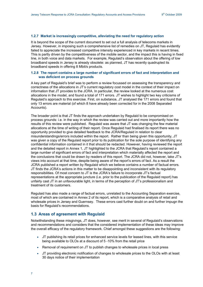### <span id="page-6-0"></span>**1.2.7 Market is increasingly competitive, alleviating the need for regulatory action**

It is beyond the scope of the current document to set out a full analysis of telecoms markets in Jersey. However, in imposing such a comprehensive list of remedies on JT, Regulaid has evidently failed to appreciate the increased competitive intensity experienced in key markets in recent times. This is partly driven by the competitiveness of the mobile sector, and the impact this is having in fixed line, in both voice and data markets. For example, Regulaid's observation about the offering of low broadband speeds in Jersey is already obsolete: as planned, JT has recently quadrupled its broadband speeds in offering 8 Mbit/s products.

### **1.2.8 The report contains a large number of significant errors of fact and interpretation and was deficient on process grounds**

A key part of Regulaid's brief was to perform a review focussed on assessing the transparency and correctness of the allocations in JT's current regulatory cost model in the context of their impact on information that JT provides to the JCRA. In particular, the review looked at the numerous cost allocations in the model, and found a total of 171 errors. JT wishes to highlight two key criticisms of Regulaid's approach to this exercise. First, on substance, JT analysed the 171 errors and found that only 13 errors are material (of which 8 have already been corrected for in the 2008 Separated Accounts).

The broader point is that JT finds the approach undertaken by Regulaid to be compromised on process grounds: i.e. in the way in which the review was carried out and more importantly how the results of this review were published. Regulaid was aware that JT was changing the few material allocations at the time of writing of their report. Once Regulaid had finalised its report there was no opportunity provided to give detailed feedback to the JCRA/Regulaid in relation to clear misunderstandings/errors included within the report. Rather than being given this opportunity, JT was given a copy of the Regulaid report prior to its publication for the sole purpose of identifying any confidential information contained in it that should be redacted. However, having reviewed the report and the detailed report in Annex 1, JT highlighted to the JCRA that Regulaid's report contained a large number of significant errors of fact and interpretation which materially affected the report and the conclusions that could be drawn by readers of this report. The JCRA did not, however, take JT's views into account at that time, despite being aware of the report's errors of fact. As a result the JCRA published a report written by Regulaid which we believe contains a number of factual errors. JT finds the JCRA's actions in this matter to be disappointing and inconsistent with its regulatory responsibilities. Of most concern to JT is the JCRA's failure to incorporate JT's factual representations at the appropriate juncture (i.e. prior to the publication of the Regulaid report) has unfairly cast JT in an unfavourable light, in terms of the perception of JT's professionalism and treatment of its customers.

Regulaid has also made a range of factual errors, unrelated to the Accounting Separation exercise, most of which are contained in Annex 2 of its report, which is a comparative analysis of retail and wholesale prices in Jersey and Guernsey. These errors cast further doubt on and further impugn the basis for Regulaid's recommendations.

### **1.3 Areas of agreement with Regulaid**

Notwithstanding these misgivings, JT does, however, see merit in several of Regulaid's observations and recommendations and considers that the considered implementation of these ideas may improve the overall efficacy of the regulatory framework. Chief amongst these suggestions are the following:

- JT publishing its retail prices for enhanced service levels for leased lines, with this service being available to OLOs at a discount of 5 -10% from the retail price
- Removal of requirement on JT to publish changes to wholesale prices in local press
- JT providing electronic notification of changes to wholesale prices to the OLOs with at least 30 days notice of their implementation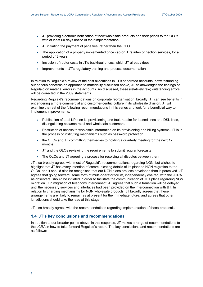- <span id="page-7-0"></span>• JT providing electronic notification of new wholesale products and their prices to the OLOs with at least 60 days notice of their implementation
- JT initiating the payment of penalties, rather than the OLO
- The application of a properly implemented price cap on JT's interconnection services, for a period of 3 years
- Inclusion of router costs in JT's backhaul prices, which JT already does.
- Improvements in JT's regulatory training and process documentation

In relation to Regulaid's review of the cost allocations in JT's separated accounts, notwithstanding our serious concerns on approach to materiality discussed above, JT acknowledges the findings of Regulaid on material errors in the accounts. As discussed, these (relatively few) outstanding errors will be corrected in the 2009 statements.

Regarding Regulaid's recommendations on corporate reorganisation, broadly, JT can see benefits in engendering a more commercial and customer-centric culture in its wholesale division. JT will examine the rest of the following recommendations in this series and look for a beneficial way to implement improvements:

- Publication of total KPIs on its provisioning and fault repairs for leased lines and DSL lines, distinguishing between retail and wholesale customers
- Restriction of access to wholesale information on its provisioning and billing systems (JT is in the process of instituting mechanisms such as password protection)
- the OLOs and JT committing themselves to holding a quarterly meeting for the next 12 months
- JT and the OLOs reviewing the requirements to submit regular forecasts
- The OLOs and JT agreeing a process for resolving all disputes between them

JT also broadly agrees with most of Regulaid's recommendations regarding NGN, but wishes to highlight that JT has every intention of communicating details of its planned NGN migration to the OLOs, and it should also be recognised that our NGN plans are less developed than is perceived. JT agrees that going forward, some form of multi-operator forum, independently chaired, with the JCRA as observers, should be initiated in order to facilitate the communication of JT's plans regarding NGN migration. On migration of telephony interconnect, JT agrees that such a transition will be delayed until the necessary services and interfaces had been provided on the interconnection with BT. In relation to charging mechanisms for NGN wholesale products, JT broadly agrees that these arrangements are likely to remain as at present for the immediate future, and agrees that other jurisdictions should take the lead at this stage,

JT also broadly agrees with the recommendations regarding implementation of these proposals.

## **1.4 JT's key conclusions and recommendations**

In addition to our broader points above, in this response, JT makes a range of recommendations to the JCRA in how to take forward Regulaid's report. The key conclusions and recommendations are as follows: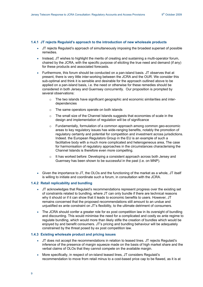#### <span id="page-8-0"></span>**1.4.1 JT rejects Regulaid's approach to the introduction of new wholesale products**

- JT rejects Regulaid's approach of simultaneously imposing the broadest superset of possible remedies.
- Instead, JT wishes to highlight the merits of creating and sustaining a multi-operator forum, chaired by the JCRA, with the specific purpose of eliciting the true need and demand (if any) for these products and associated forecasts.
- Furthermore, this forum should be conducted on a pan-island basis. JT observes that at present, there is very little inter-working between the JCRA and the OUR. We consider this sub-optimal and think it is sensible and desirable for the approach outlined above to be applied on a pan-island basis, i.e. the need or otherwise for these remedies should be considered in both Jersey and Guernsey concurrently. Our proposition is prompted by several observations:
	- o The two islands have significant geographic and economic similarities and interdependencies
	- o The same operators operate on both islands
	- $\circ$  The small size of the Channel Islands suggests that economies of scale in the design and implementation of regulation will be of significance
	- $\circ$  Fundamentally, formulation of a common approach among common geo-economic areas to key regulatory issues has wide-ranging benefits, notably the promotion of regulatory certainty and potential for competition and investment across jurisdictions. Indeed. the European Regulators Group in the EU is an example of such a facilitative body with a much more complicated and heterogeneous area, The case for harmonisation of regulatory approaches in the circumstances characterising the Channel Islands is therefore even more compelling.
	- $\circ$  It has worked before: Developing a consistent approach across both Jersey and Guernsey has been shown to be successful in the past (i.e. on MNP).
- Given the importance to JT, the OLOs and the functioning of the market as a whole, JT itself is willing to initiate and coordinate such a forum, in consultation with the JCRA.

### **1.4.2 Retail replicability and bundling**

- JT acknowledges that Regulaid's recommendations represent progress over the existing set of constraints related to bundling, where JT can only bundle if there are technical reasons why it should or if it can show that it leads to economic benefits to users. However, JT remains concerned that the proposed recommendations still amount to an undue and unjustified ex ante constraint on JT's flexibility, to the ultimate detriment of consumers.
- The JCRA should confer a greater role for ex post competition law in its oversight of bundling and discounting. This would minimise the need for a complicated and costly ex ante regime to regulate bundling, which would more than likely stifle the creation of bundles which would be enjoyed by and benefit consumers. JT's pricing and bundling behaviour will be adequately constrained by the threat posed by ex post competition law.

### **1.4.3 Existing wholesale product and pricing issues**

- JT does not accept the recommendations in relation to leased lines. JT rejects Regulaid's inference of the presence of margin squeeze made on the basis of high market share and the verbal claims of OLOs that they cannot compete on the available margin.
- More specifically, in respect of on-island leased lines, JT considers Regulaid's recommendation to move from retail minus to a cost-based price cap to be flawed, as it is at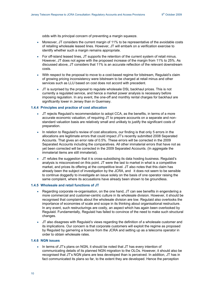<span id="page-9-0"></span>odds with its principal concern of preventing a margin squeeze.

- Moreover, JT considers the current margin of 11% to be representative of the avoidable costs of retailing wholesale leased lines. However, JT will embark on a verification exercise to identify whether such a margin remains appropriate.
- For off-island leased lines, JT supports the retention of the current system of retail minus. However, JT does not agree with the proposed increase of the margin from 11% to 25%. As discussed above, JT considers that 11% is an accurate reflection of the relevant downstream costs.
- With respect to the proposal to move to a cost-based regime for bitstream. Regulaid's claim of growing pricing inconsistency were bitstream to be charged at retail minus and other services such as LLU based on cost does not accord with precedent.
- JT is surprised by the proposal to regulate wholesale DSL backhaul prices. This is not currently a regulated service, and hence a market power analysis is necessary before imposing regulation. In any event, the one-off and monthly rental charges for backhaul are significantly lower in Jersey than in Guernsey.

#### **1.4.4 Principles and practice of cost allocation**

- JT rejects Regulaid's recommendation to adopt CCA, as the benefits, in terms of a more accurate economic valuation, of requiring JT to prepare accounts on a separate and nonstandard valuation basis are relatively small and unlikely to justify the significant costs of preparation.
- In relation to Regulaid's review of cost allocations, our finding is that only 5 errors in the allocations are legitimate errors that could impact JT's recently submitted 2008 Separated Accounts. That gives an error rate of 0.5%. These errors will be corrected in the 2009 Separated Accounts including the comparatives. All other immaterial errors that have not as yet been corrected will be corrected in the 2009 Separated Accounts. (In aggregate the immaterial items are still immaterial).
- JT refutes the suggestion that it is cross-subsidising its data hosting business. Regulaid's analysis is misconceived on this point. JT were the last to market in what is a competitive market, and prices its offering at the competitive level. JT also notes that this claim has already been the subject of investigation by the JCRA, and it does not seem to be sensible to continue doggedly to investigate an issue solely on the basis of one operator raising the same complaint, where its accusations have already been shown to be groundless.

#### **1.4.5 Wholesale and retail functions of JT**

- Regarding corporate re-organisation, on the one hand, JT can see benefits in engendering a more commercial and customer-centric culture in its wholesale division. However, it should be recognised that complaints about the wholesale division are low. Regulaid also overlooks the importance of economies of scale and scope in its thinking about organisational restructure. In any event, such restructurings are costly, an aspect which has again been overlooked by Regulaid. Fundamentally, Regulaid has failed to convince of the need to make such structural changes.
- JT also disagrees with Regulaid's views regarding the definition of a wholesale customer and its implications. Our concern is that corporate customers will exploit the regime as proposed by Regulaid by garnering a licence from the JCRA and setting up as a telecoms operator in order to obtain wholesale rates.

### **1.4.6 NGN issues**

• In terms of JT's plans on NGN, it should be noted that JT has every intention of communicating details of its planned NGN migration to the OLOs. However, it should also be recognised that JT's NGN plans are less developed than is perceived. In addition, JT has in fact communicated its plans so far, to the extent they are developed. Hence the perception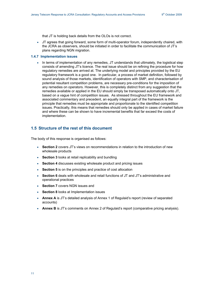<span id="page-10-0"></span>that JT is holding back details from the OLOs is not correct.

• JT agrees that going forward, some form of multi-operator forum, independently chaired, with the JCRA as observers, should be initiated in order to facilitate the communication of JT's plans regarding NGN migration.

#### **1.4.7 Implementation issues**

• In terms of implementation of any remedies, JT understands that ultimately, the logistical step consists of amending JT's licence. The real issue should be on refining the procedure for how regulatory remedies are arrived at. The underlying model and principles provided by the EU regulatory framework is a good one. In particular, a process of market definition, followed by sound analysis of those markets, identification of operators with SMP, and characterisation of potential resultant competition problems, are necessary pre-conditions for the imposition of any remedies on operators. However, this is completely distinct from any suggestion that the remedies available or applied in the EU should simply be transposed automatically onto JT, based on a vague hint of competition issues. As stressed throughout the EU framework and associated commentary and precedent, an equally integral part of the framework is the principle that remedies must be appropriate and proportionate to the identified competition issues. Practically, this means that remedies should only be applied in cases of market failure and where these can be shown to have incremental benefits that far exceed the costs of implementation.

# **1.5 Structure of the rest of this document**

The body of this response is organised as follows:

- **Section 2** covers JT's views on recommendations in relation to the introduction of new wholesale products
- **Section 3** looks at retail replicability and bundling
- **Section 4** discusses existing wholesale product and pricing issues
- **Section 5** is on the principles and practice of cost allocation
- **Section 6** deals with wholesale and retail functions of JT and JT's administrative and operational practices
- **Section 7** covers NGN issues and
- **Section 8** looks at Implementation issues
- **Annex A** is JT's detailed analysis of Annex 1 of Regulaid's report (review of separated accounts)
- **Annex B** is JT's comments on Annex 2 of Regulaid's report (comparative pricing analysis).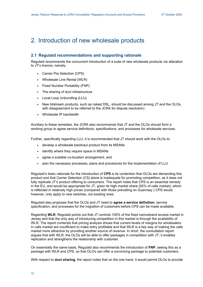# <span id="page-11-0"></span>2. Introduction of new wholesale products

# **2.1 Regulaid recommendations and supporting rationale**

Regulaid recommends the concurrent introduction of a suite of new wholesale products via alteration to JT's licence, namely:

- Carrier Pre Selection (CPS)
- Wholesale Line Rental (WLR)
- Fixed Number Portability (FNP)
- The sharing of duct infrastructure
- Local Loop Unbundling (LLU)
- New bitstream products, such as naked DSL, should be discussed among JT and the OLOs, with disagreement to be referred to the JCRA for dispute resolution)
- Wholesale IP bandwidth

Ancillary to these remedies, the JCRA also recommends that JT and the OLOs should form a working group to agree service definitions, specifications, and processes for wholesale services.

Further, specifically regarding LLU, it is recommended that JT should work with the OLOs to:

- develop a wholesale backhaul product from its MSANs
- identify where they require space in MSANs
- agree a suitable co-location arrangement, and
- plan the necessary processes, plans and procedures for the implementation of LLU.

Regulaid's basic rationale for the introduction of **CPS** is its contention that OLOs are demanding this product and that Carrier Selection (CS) alone is inadequate for promoting competition, as it does not fully replicate JT's product offering to consumers. The report notes that CPS is an essential remedy in the EU, and would be appropriate for JT, given its high market share (92% of calls market), which is reflected in relatively high prices (compared with those prevailing on Guernsey.) CPS would, however, only apply to new switches, not existing ones.

Regulaid also proposes that the OLOs and JT need to **agree a service definition**, service specification, and processes for the migration of customers before CPS can be made available.

Regarding **WLR**, Regulaid points out that JT controls 100% of the fixed narrowband access market in Jersey and that the only way of introducing competition in this market is through the availability of WLR. The report contends that pricing analysis shows that current levels of margins for wholesalers in calls market are insufficient to make entry profitable and that WLR is a key way of making the calls market more attractive by providing another source of revenue. In short, the consultation report argues that with WLR, the OLOs will be able to offer packages in competition with JT; it enables replication and strengthens the relationship with customer.

On essentially the same basis, Regulaid also recommends the introduction of **FNP**, seeing this as a package with WLR and CPS, so that OLOs can offer a convincing package to potential customers.

With respect to **duct sharing**, the report notes that on the one hand, it would permit OLOs to provide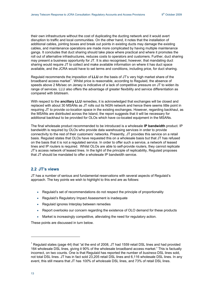<span id="page-12-0"></span>their own infrastructure without the cost of duplicating the ducting network and it would avert disruption to traffic and local communities. On the other hand, it notes that the installation of additional cables, jointing boxes and break out points in existing ducts may damage the existing cables, and maintenance operations are made more complicated by having multiple maintenance gangs. It concludes that duct sharing should take place where practical and where it promotes the roll out of alternative infrastructures, reduces costs to operators and customers. Further, duct sharing may present a business opportunity for JT. It is also recognised, however, that mandating duct sharing would require JT to collect and make available information on where it has duct space available, and the JCRA would have to set terms and conditions, including price, for duct sharing.

Regulaid recommends the imposition of **LLU** on the basis of JT's very high market share of the broadband access market<sup>[1](#page-12-0)</sup>. Whilst price is reasonable, according to Regulaid, the absence of speeds above 2 Mb/sec on Jersey is indicative of a lack of competitive pressure on JT to widen its range of services. LLU also offers the advantage of greater flexibility and service differentiation as compared with bitstream.

With respect to the **ancillary LLU** remedies, it is acknowledged that exchanges will be closed and replaced with about 30 MSANs as JT rolls out its NGN network and hence there seems little point in requiring JT to provide co-location space in the existing exchanges. However, regarding backhaul, as the MSANs are distributed across the Island, the report suggests that it will be necessary for additional backhaul to be provided for OLOs which have co-located equipment in the MSANs.

The final wholesale product recommended to be introduced is a wholesale **IP bandwidth** product. IP bandwidth is required by OLOs who provide data warehousing services in order to provide connectivity to the rest of their customers' networks. Presently, JT provides this service on a retail basis. Regulaid states that OLOs have requested this on a wholesale basis but that JT has refused on the basis that it is not a regulated service. In order to offer such a service, a network of leased lines and IP routers is required. Whilst OLOs are able to self-provide routers, they cannot replicate JT's access network of leased lines. In the light of the principle of replicability, Regulaid proposes that JT should be mandated to offer a wholesale IP bandwidth service.

# **2.2 JT's views**

JT has a number of serious and fundamental reservations with several aspects of Regulaid's approach. The key points we wish to highlight to this end are as follows:

- Regulaid's set of recommendations do not respect the principle of proportionality
- Regulaid's Regulatory Impact Assessment is inadequate
- Regulaid ignores Interplay between remedies
- Report overlooks our concern regarding the existence of OLO demand for these products
- Market is increasingly competitive, alleviating the need for regulatory action.

These points are discussed in turn below.

-

<sup>&</sup>lt;sup>1</sup> Regulaid states (page 44) that "at the end of 2008, JT had 1559 retail DSL lines and had provided 164 wholesale DSL lines, giving it 90% of the wholesale broadband access market." This is factually incorrect, on two counts. One is that Regulaid has reported the number of *business* DSL lines sold, not total DSL lines. JT has in fact sold 23,205 retail DSL lines and 6,116 wholesale DSL lines. In any event, this still means that JT has *100*% of *wholesale* DSL lines, and 73% of retail DSL lines.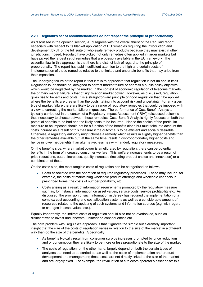### <span id="page-13-0"></span>**2.2.1 Regulaid's set of recommendations do not respect the principle of proportionality**

As discussed in the opening section, JT disagrees with the overall thrust of the Regulaid report, especially with respect to its blanket application of EU remedies requiring the introduction and development by JT of the full suite of wholesale remedy products because they may exist in other jurisdictions. Indeed, Regulaid have picked not only remedies often applied in larger markets but have picked the largest set of remedies that are possibly available in the EU framework. The essential flaw in this approach is that there is a distinct lack of regard to the principle of proportionality. The report has paid insufficient attention to the high and certain costs of implementation of these remedies relative to the limited and uncertain benefits that may arise from their imposition.

The underlying failure of the report is that it fails to appreciate that regulation is not an end in itself. Regulation is, or should be, designed to correct market failure or address a public policy objective which would be neglected by the market. In the context of economic regulation of telecoms markets, the primary market failure is that of signification market power. However, as discussed, regulation gives rise to benefits and costs. It is a straightforward principle of good regulation that it be applied where the benefits are greater than the costs, taking into account risk and uncertainty. For any given type of market failure there are likely to be a range of regulatory remedies that could be imposed with a view to correcting the market failure in question. The performance of Cost-Benefit-Analysis, typically carried out in the context of a Regulatory Impact Assessment ("RIA") (discussed below) is thus necessary to choose between these remedies. Cost–Benefit Analysis rightly focuses on both the potential benefits to be had and the likely costs to be incurred. Hence the choice of the particular measure to be imposed should not be a function of the benefits alone but must take into account the costs incurred as a result of this measure if the outcome is to be efficient and socially desirable. Otherwise, a regulatory authority might choose a remedy which results in slightly higher benefits than the other remedies available but, at the same time, result in disproportionately higher costs and hence in lower net benefits than alternative, less heavy – handed, regulatory measures.

On the benefits side, where market power is ameliorated by regulation, there can be potential benefits in the form of increased consumer welfare. This welfare increase tends to be a result of price reductions, output increases, quality increases (including product choice and innovation) or a combination of these.

On the costs side, the most tangible costs of regulation can be categorised as follows:

- Costs associated with the operation of required regulatory processes. These may include, for example, the costs of maintaining wholesale product offerings and wholesale channels in prescribed forms, the costs of number portability, etc.
- Costs arising as a result of information requirements prompted by the regulatory measure such as, for instance, information on asset values, service costs, service profitability etc. As discussed, the provision of such information in Jersey has required the implementation of a complex cost accounting and cost allocation systems as well as a considerable amount of resources related to the updating of such systems and information sources (e.g. with regard to changes in asset values etc.).

Equally importantly, the indirect costs of regulation should also not be overlooked, such as disincentives to invest and innovate, unintended consequences etc.

The core problem with Regulaid's approach is that it ignores the simple but extremely important insight that the size of the costs of regulation varies in relation to the size of the market in a different way than do the size of the benefits...Specifically:

- As benefits typically result from consumer surplus increases prompted by price reductions and or consumption they are likely to be more or less proportionate to the size of the market.
- The costs of regulation, on the other hand, largely depend on both the certain types of analyses that need to be carried out as well as the costs of implementation and product development and management; these costs are not directly linked to the size of the market and are largely fixed. For example, the revaluation of a telecom operator's asset base: this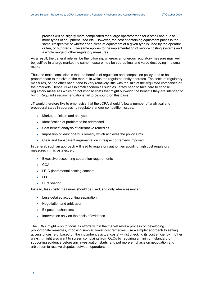process will be slightly more complicated for a large operator than for a small one due to more types of equipment used etc. However, the cost of obtaining equipment prices is the same irrespective of whether one piece of equipment of a given type is used by the operator or ten, or hundreds. The same applies to the implementation of service costing systems and a whole range of other regulatory measures.

As a result, the general rule will be the following: whereas an onerous regulatory measure may well be justified in a large market the same measure may be sub-optimal and value destroying in a small market.

Thus the main conclusion is that the benefits of regulation and competition policy tend to be proportionate to the size of the market in which the regulated entity operates. The costs of regulatory measures, on the other hand, tend to vary relatively little with the size of the regulated companies or their markets. Hence, NRAs in small economies such as Jersey need to take care to choose regulatory measures which do not impose costs that might outweigh the benefits they are intended to bring. Regulaid's recommendations fail to be sound on this basis.

JT would therefore like to emphasise that the JCRA should follow a number of analytical and procedural steps in addressing regulatory and/or competition issues:

- Market definition and analysis
- Identification of problem to be addressed
- Cost benefit analysis of alternative remedies
- Imposition of least onerous remedy which achieves the policy aims
- Clear and transparent argumentation in respect of remedy imposed.

In general, such an approach will lead to regulatory authorities avoiding high cost regulatory measures in microstates, e.g.

- Excessive accounting separation requirements
- CCA
- LRIC (incremental costing concept)
- LLU
- Duct sharing

Instead, less costly measures should be used, and only where essential:

- Less detailed accounting separation
- Negotiation and arbitration
- Ex post mechanisms
- Intervention only on the basis of evidence

The JCRA might wish to focus its efforts within the market review process on developing proportionate remedies, imposing simpler, lower cost remedies, use a simpler approach to setting access prices (e.g. based on the incumbent's actual costs) whilst checking its cost efficiency in other ways. It might also want to screen complaints from OLOs by requiring a minimum standard of supporting evidence before any investigation starts, and put more emphasis on negotiation and arbitration to resolve disputes between operators.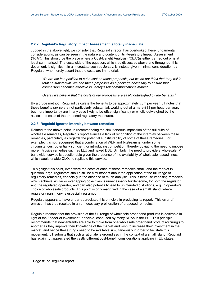#### <span id="page-15-0"></span>**2.2.2 Regulaid's Regulatory Impact Assessment is totally inadequate**

Judged in the above light, we consider that Regulaid*'s* report has overlooked these fundamental considerations, as can be seen in the nature and content of its Regulatory Impact Assessment ("RIA"). This should be the place where a Cost-Benefit Analysis ("CBA")is either carried out or is at least summarised. The costs side of the equation, which, as discussed above and throughout this document, is significant in a microstate such as Jersey, is instead given minimal consideration by Regulaid, who merely assert that the costs are immaterial:

*We are not in a position to put a cost on these proposals, but we do not think that they will in total be substantial. We see these proposals as a package necessary to ensure that competition becomes effective in Jersey's telecommunications market…* 

*Overall we believe that the costs of our proposals are easily outweighed by the benefits.[2](#page-15-0)*

By a crude method, Regulaid calculate the benefits to be approximately £3m per year. JT notes that these benefits *per se* are not particularly substantial, working out at a mere £33 per head per year, but more importantly are in any case likely to be offset significantly or wholly outweighed by the associated costs of the proposed regulatory measures.

### **2.2.3 Regulaid ignores Interplay between remedies**

Related to the above point, in recommending the simultaneous imposition of the full suite of wholesale remedies, Regulaid's report evinces a lack of recognition of the interplay between these remedies, particularly as regards the potential substitutability of some of these remedies. For example, it is not recognised that a combination of WLR and bitstream is, under some circumstances, potentially sufficient for introducing competition, thereby obviating the need to impose more intrusive remedies such as LLU and naked DSL. Similarly, the need to provide a wholesale IP bandwidth service is questionable given the presence of the availability of wholesale leased lines, which would enable OLOs to replicate this service.

To highlight this point, even were the costs of each of these remedies small, and the market in question large, regulators should still be circumspect about the application of the full range of regulatory remedies, especially in the absence of much analysis. This is because imposing remedies which achieve similar or overlapping objectives is unnecessarily burdensome, for both the regulator and the regulated operator, and can also potentially lead to unintended distortions, e.g. in operator's choice of wholesale products. This point is only magnified in the case of a small island, where regulatory parsimony is especially paramount.

Regulaid appears to have under-appreciated this principle in producing its report. This error of omission has thus resulted in an unnecessary proliferation of proposed remedies.

Regulaid reasons that the provision of the full range of wholesale broadband products is desirable in light of the "ladder of investment" principle, espoused by many NRAs in the EU. This principle recommends that new entrants are able to move from one wholesale broadband product (or 'rung') to another as they improve their knowledge of the market and wish to increase their investment in the market, and hence these rungs need to be available simultaneously in order to facilitate this movement. JT submits that such a rationale is groundless in the context of a small island. Regulaid has again not appreciated the vastly different cost-benefit considerations applying in EU states.

1

 $2$  Page 81 of Regulaid report.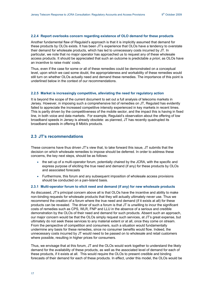#### <span id="page-16-0"></span>**2.2.4 Report overlooks concern regarding existence of OLO demand for these products**

Another fundamental flaw of Regulaid's approach is that it is implicitly assumed that demand for these products by OLOs exists. It has been JT's experience that OLOs have a tendency to overstate their demand for wholesale products, which has led to unnecessary costs incurred by JT. In particular, we note that no major operator has approached us to request any of these wholesale access products. It should be appreciated that such an outcome is predictable *a priori*, as OLOs have an incentive to raise rivals' costs.

Thus, even if the case for some or all of these remedies could be demonstrated on a conceptual level, upon which we cast some doubt, the appropriateness and workability of these remedies would still turn on whether OLOs actually need and demand these remedies. The importance of this point is underlined below in the context of our recommendations.

#### **2.2.5 Market is increasingly competitive, alleviating the need for regulatory action**

It is beyond the scope of the current document to set out a full analysis of telecoms markets in Jersey. However, in imposing such a comprehensive list of remedies on JT, Regulaid has evidently failed to appreciate the increased competitive intensity experienced in key markets in recent times. This is partly driven by the competitiveness of the mobile sector, and the impact this is having in fixed line, in both voice and data markets. For example, Regulaid's observation about the offering of low broadband speeds in Jersey is already obsolete: as planned, JT has recently quadrupled its broadband speeds in offering 8 Mbit/s products.

# **2.3 JT's recommendations**

These concerns have thus driven JT's view that, to take forward this issue, JT submits that the decision on which wholesale remedies to impose should be deferred. In order to address these concerns, the key next steps, should be as follows:

- the set up of a multi-operator forum, potentially chaired by the JCRA, with the specific and express purpose of eliciting the true need and demand (if any) for these products by OLOs and associated forecasts
- Furthermore, this forum and any subsequent imposition of wholesale access provisions should be conducted on a pan-Island basis.

#### **2.3.1 Multi-operator forum to elicit need and demand (if any) for new wholesale products**

As discussed, JT's principal concern above all is that OLOs have the incentive and ability to make non-binding requests for wholesale products that they will actually ultimately never use. Thus we recommend the creation of a forum where the true need and demand (if it exists at all) for these products can be revealed. The driver of such a forum is that JT is unwilling to incur the significant costs of remedies such as CPS, WLR, FNP and LLU in the absence of a serious and credible demonstration by the OLOs of their need and demand for such products. Absent such an approach, our major concern would be that the OLOs simply request such services, at JT's great expense, but ultimately do not seek these services to any material extent or at all, once they come on stream. From the perspective of competition and consumers, such a situation would fundamentally undermine any basis for these remedies, since no consumer benefits would flow. Indeed, the unnecessary costs incurred by JT would need to be passed on to wholesale and retail customers where possible, resulting in higher prices for consumers.

Thus, we envisage that at this forum, JT and the OLOs would work together to understand the likely demand for the availability of these products, as well as the associated level of demand for each of these products, if it exists at all. This would require the OLOs to present credible and binding forecasts of their demand for each of these products. In effect, under this model, the OLOs would be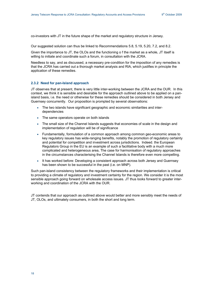<span id="page-17-0"></span>co-investors with JT in the future shape of the market and regulatory structure in Jersey.

Our suggested solution can thus be linked to Recommendations 5.8, 5.19, 5.20, 7.2, and 8.2.

Given the importance to JT, the OLOs and the functioning o f the market as a whole, JT itself is willing to initiate and coordinate such a forum, in consultation with the JCRA.

Needless to say, and as discussed, a necessary pre-condition for the imposition of any remedies is that the JCRA has carried out a thorough market analysis and RIA, which justifies in principle the application of these remedies.

### **2.3.2 Need for pan-Island approach**

JT observes that at present, there is very little inter-working between the JCRA and the OUR. In this context, we think it is sensible and desirable for the approach outlined above to be applied on a panisland basis, i.e. the need or otherwise for these remedies should be considered in both Jersey and Guernsey concurrently. Our proposition is prompted by several observations:

- The two islands have significant geographic and economic similarities and interdependencies
- The same operators operate on both islands
- The small size of the Channel Islands suggests that economies of scale in the design and implementation of regulation will be of significance
- Fundamentally, formulation of a common approach among common geo-economic areas to key regulatory issues has wide-ranging benefits, notably the promotion of regulatory certainty and potential for competition and investment across jurisdictions. Indeed. the European Regulators Group in the EU is an example of such a facilitative body with a much more complicated and heterogeneous area, The case for harmonisation of regulatory approaches in the circumstances characterising the Channel Islands is therefore even more compelling.
- It has worked before: Developing a consistent approach across both Jersey and Guernsey has been shown to be successful in the past (i.e. on MNP).

Such pan-island consistency between the regulatory frameworks and their implementation is critical to providing a climate of regulatory and investment certainty for the region. We consider it is the most sensible approach going forward on wholesale access issues. JT thus looks forward to greater interworking and coordination of the JCRA with the OUR.

JT contends that our approach as outlined above would better and more sensibly meet the needs of JT, OLOs, and ultimately consumers, in both the short and long term.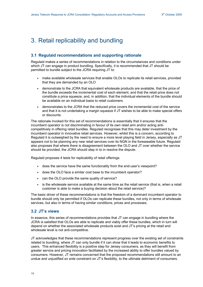# <span id="page-18-0"></span>3. Retail replicability and bundling

# **3.1 Regulaid recommendations and supporting rationale**

Regulaid makes a series of recommendations in relation to the circumstances and conditions under which JT can engage in product bundling. Specifically, it is recommended that JT should be permitted to bundle subject to the JCRA requiring JT to:

- make available wholesale services that enable OLOs to replicate its retail services, provided that they are demanded by an OLO
- demonstrate to the JCRA that equivalent wholesale products are available, that the price of the bundle exceeds the incremental cost of each element, and that the retail price does not constitute a price squeeze, and, in addition, that the individual elements of the bundle should be available on an individual basis to retail customers
- demonstrates to the JCRA that the reduced price covers the incremental cost of the service and that it is not undertaking a margin squeeze if JT wishes to be able to make special offers or discounts.

The rationale invoked for this set of recommendations is essentially that it ensures that the incumbent operator is not discriminating in favour of its own retail arm and/or acting anticompetitively in offering retail bundles. Regulaid recognises that this may deter investment by the incumbent operator in innovative retail services. However, whilst this is a concern, according to Regulaid it is outweighed by the need to ensure a more level playing field in Jersey, especially as JT appears not to be planning any new retail services over its NGN in the foreseeable future. Regulaid also proposes that where there is disagreement between the OLO and JT over whether the service should be provided, the JCRA should step in to in resolve the dispute.

Regulaid proposes 4 tests for replicability of retail offerings:

- does the service have the same functionality from the end-user's viewpoint?
- does the OLO face a similar cost base to the incumbent operator?
- can the OLO provide the same quality of service?
- is the wholesale service available at the same time as the retail service (that is, when a retail customer is able to make a buying decision about the retail service)?

The basic driver of these recommendations is that the freedom of a dominant incumbent operator to bundle should only be permitted if OLOs can replicate these bundles, not only in terms of wholesale services, but also in terms of having similar conditions, prices and processes.

## **3.2 JT's views**

In essence, this series of recommendations provides that JT can engage in bundling where the JCRA is satisfied that OLOs are able to replicate and viably offer these bundles, which in turn will depend on whether the associated wholesale products exist and JT's pricing at the retail and wholesale level is not anti-competitive.

JT acknowledges that these recommendations represent progress over the existing set of constraints related to bundling, where JT can only bundle if it can show that it leads to economic benefits to users. This enhanced flexibility is a positive step for Jersey consumers, as they will benefit from greater service and pricing innovation facilitated by the increased ability to offer bundles valued by consumers. However, JT remains concerned that the proposed recommendations still amount to an undue and unjustified *ex ante* constraint on JT's flexibility, to the ultimate detriment of consumers.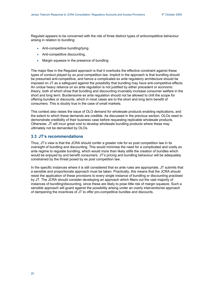<span id="page-19-0"></span>Regulaid appears to be concerned with the risk of three distinct types of anticompetitive behaviour arising in relation to bundling:

- Anti-competitive bundling/tying
- Anti-competitive discounting,
- Margin squeeze in the presence of bundling

The major flaw in the Regulaid approach is that it overlooks the effective constraint against these types of conduct played by *ex post* competition law. Implicit in the approach is that bundling should be presumed anti-competitive, and hence a complicated ex ante regulatory architecture should be imposed on JT as a safeguard against the possibility that bundling may have anti-competitive effects. An undue heavy reliance on ex ante regulation is not justified by either precedent or economic theory, both of which show that bundling and discounting invariably increase consumer welfare in the short and long term. Burdensome ex ante regulation should not be allowed to chill the scope for offering bundles or discounts, which in most cases are to the short and long term benefit of consumers. This is doubly true in the case of small markets.

This context also raises the issue of OLO demand for wholesale products enabling replications, and the extent to which these demands are credible. As discussed in the previous section, OLOs need to demonstrate credibility of their business case before requesting replicable wholesale products. Otherwise, JT will incur great cost to develop wholesale bundling products where these may ultimately not be demanded by OLOs.

# **3.3 JT's recommendations**

Thus, JT's view is that the JCRA should confer a greater role for ex post competition law in its oversight of bundling and discounting. This would minimise the need for a complicated and costly ex ante regime to regulate bundling, which would more than likely stifle the creation of bundles which would be enjoyed by and benefit consumers. JT's pricing and bundling behaviour will be adequately constrained by the threat posed by ex post competition law.

In the specific instances where it is still considered that ex ante rules are appropriate, JT submits that a sensible and proportionate approach must be taken. Practically, this means that the JCRA should resist the application of these provisions to every single instance of bundling or discounting practised by JT. The JCRA should consider developing an approach which filters out the vast majority of instances of bundling/discounting, since these are likely to pose little risk of margin squeeze. Such a sensible approach will guard against the possibility arising under an overly interventionist approach of dampening the incentives of JT to offer pro-competitive bundles and discounts.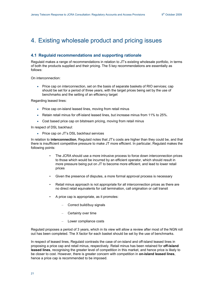# <span id="page-20-0"></span>4. Existing wholesale product and pricing issues

# **4.1 Regulaid recommendations and supporting rationale**

Regulaid makes a range of recommendations in relation to JT's existing wholesale portfolio, in terms of both the products supplied and their pricing. The 5 key recommendations are essentially as follows:

On interconnection:

• Price cap on interconnection, set on the basis of separate baskets of RIO services; cap should be set for a period of three years, with the target prices being set by the use of benchmarks and the setting of an efficiency target

Regarding leased lines:

- Price cap on-island leased lines, moving from retail minus
- Retain retail minus for off-island leased lines, but increase minus from 11% to 25%.
- Cost based price cap on bitstream pricing, moving from retail minus

In respect of DSL backhaul:

• Price cap on JT's DSL backhaul services

In relation to **interconnection**, Regulaid notes that JT's costs are higher than they could be, and that there is insufficient competitive pressure to make JT more efficient. In particular, Regulaid makes the following points:

- The JCRA should use a more intrusive process to force down interconnection prices to those which would be incurred by an efficient operator, which should result in more pressure being put on JT to become more efficient, and lead to lower retail prices
- Given the presence of disputes, a more formal approval process is necessary
- Retail minus approach is not appropriate for all interconnection prices as there are no direct retail equivalents for call termination, call origination or call transit
- A price cap is appropriate, as it promotes:
	- Correct build/buy signals
	- Certainty over time
	- Lower compliance costs

Regulaid proposes a period of 3 years, which in its view will allow a review after most of the NGN roll out has been completed. The X factor for each basket should be set by the use of benchmarks.

In respect of leased lines, Regulaid contrasts the case of on-island and off-island leased lines in proposing a price cap and retail minus, respectively. Retail minus has been retained for **off-island leased lines**, recognising the greater level of competition in this market, and hence price is likely to be closer to cost. However, there is greater concern with competition in **on-island leased lines**, hence a price cap is recommended to be imposed.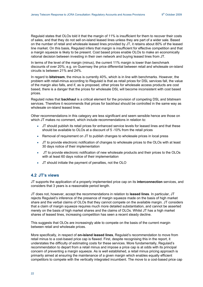<span id="page-21-0"></span>Regulaid states that OLOs told it that the margin of 11% is insufficient for them to recover their costs of sales, and that they do not sell on-island leased lines unless they are part of a wider sale. Based on the number of retail and wholesale leased lines provided by JT, it retains about 80% of the leased line market. On this basis, Regulaid infers that margin is insufficient for effective competition and that a margin squeeze is likely to be present. Cost based prices enable OLOs to make an economically rational decision between investing in their own network and buying leased lines from JT.

In terms of the level of the margin (minus), the current 11% margin is lower than benchmark discounts of over 20%; e.g. on Guernsey the price differential between retail and wholesale on-island circuits is between 21% and 24%.

In regard to **bitstream**, the minus is currently 40%, which is in line with benchmarks. However, the problem with retail-minus according to Regulaid is that as retail prices for DSL services fall, the value of the margin also falls, and if, as is proposed, other prices for wholesale access products are cost based, there is a danger that the prices for wholesale DSL will become inconsistent with cost based prices.

Regulaid notes that **backhaul** is a critical element for the provision of competing DSL and bitstream services. Therefore it recommends that prices for backhaul should be controlled in the same way as wholesale on-island leased lines.

Other recommendations in this category are less significant and seem sensible hence are those on which JT makes no comment, which include recommendations in relation to:

- JT should publish its retail prices for enhanced service levels for leased lines and that these should be available to OLOs at a discount of 5 -10% from the retail prices
- Removal of requirement on JT to publish changes to wholesale prices in local press
- JT to provide electronic notification of changes to wholesale prices to the OLOs with at least 30 days notice of their implementation
- JT to provide electronic notification of new wholesale products and their prices to the OLOs with at least 60 days notice of their implementation
- JT should initiate the payment of penalties, not the OLO

# **4.2 JT's views**

JT supports the application of a properly implemented price cap on its **interconnection** services, and considers that 3 years is a reasonable period length.

JT does not, however, accept the recommendations in relation to **leased lines**. In particular, JT rejects Regulaid's inference of the presence of margin squeeze made on the basis of high market share and the verbal claims of OLOs that they cannot compete on the available margin. JT considers that a claim of margin squeeze requires much more detailed substantiation, and cannot be asserted merely on the basis of high market shares and the claims of OLOs. Whilst JT has a high market shares of leased lines, increasing competition has seen a recent steady decline.

This suggests that OLOs are increasingly able to compete on the basis of the current margin between retail and wholesale prices.

More specifically, in respect of **on-island leased lines**, Regulaid's recommendation to move from retail minus to a cost-based price cap is flawed. First, despite recognising this in the report, it understates the difficulty of estimating costs for these services. More fundamentally, Regulaid's recommendation to depart from a retail minus and impose a price cap is at odds with its principal concern of preventing a margin squeeze. As is well established, a retail minus pricing approach is primarily aimed at ensuring the maintenance of a given margin which enables equally efficient competitors to compete with the vertically integrated incumbent. The move to a cost-based price cap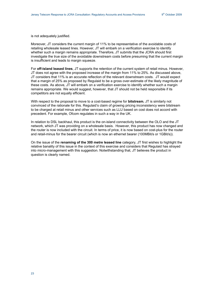is not adequately justified.

Moreover, JT considers the current margin of 11% to be representative of the avoidable costs of retailing wholesale leased lines. However, JT will embark on a verification exercise to identify whether such a margin remains appropriate. Therefore, JT submits that the JCRA should first investigate the true size of the avoidable downstream costs before presuming that the current margin is insufficient and leads to margin squeeze.

For **off-island leased lines**, JT supports the retention of the current system of retail minus. However, JT does not agree with the proposed increase of the margin from 11% to 25%. As discussed above, JT considers that 11% is an accurate reflection of the relevant downstream costs. JT would expect that a margin of 25% as proposed by Regulaid to be a gross over-estimate of the likely magnitude of these costs. As above, JT will embark on a verification exercise to identify whether such a margin remains appropriate. We would suggest, however, that JT should not be held responsible if its competitors are not equally efficient.

With respect to the proposal to move to a cost-based regime for **bitstream**, JT is similarly not convinced of the rationale for this. Regulaid's claim of growing pricing inconsistency were bitstream to be charged at retail minus and other services such as LLU based on cost does not accord with precedent. For example, Ofcom regulates in such a way in the UK.

In relation to DSL backhaul, this product is the on-island connectivity between the OLO and the JT network, which JT was providing on a wholesale basis. However, this product has now changed and the router is now included with the circuit. In terms of price, it is now based on cost-plus for the router and retail-minus for the bearer circuit (which is now an ethernet bearer (100MBit/s or 1GBit/s)).

On the issue of the **renaming of the 300 metre leased line** category, JT first wishes to highlight the relative banality of this issue in the context of this exercise and considers that Regulaid has strayed into micro-management with this suggestion. Notwithstanding that, JT believes the product in question is clearly named.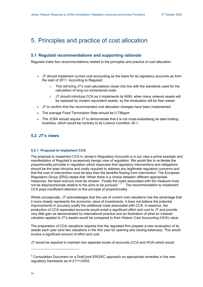# <span id="page-23-0"></span>5. Principles and practice of cost allocation

# **5.1 Regulaid recommendations and supporting rationale**

Regulaid make four recommendations related to the principles and practice of cost allocation:

- JT should implement current cost accounting as the basis for its regulatory accounts as from the start of 2011. According to Regulaid:
	- $\circ$  This will bring JT's cost calculations closer into line with the standards used for the calculation of long run incremental costs
	- $\circ$  JT should introduce CCA as it implements its NGN, when many network assets will be replaced by modern equivalent assets, so the revaluation will be then easier.
- JT to confirm that the recommended cost allocation changes have been implemented
- The average Fixed Termination Rate should be 0.736ppm
- The JCRA should require JT to demonstrate that it is not cross-subsidising its data hosting business, which would be contrary to its Licence Condition 30.1.

# **5.2 JT's views**

## **5.2.1 Proposal to implement CCA**

The proposal to implement CCA in Jersey's Regulatory Accounts is in our view a prime example and manifestation of Regulaid's excessively benign view of regulation. We would like to re-iterate the proportionality principle in regulation which espouses that regulatory interventions and obligations should be the least intrusive and costly required to address any legitimate regulatory concerns and that the cost of intervention must be less than the benefits flowing from intervention. The European Regulators Group (ERG) states that "When there is a choice between different appropriate measures, the least onerous must be chosen. Finally the costs associated with the measure must not be disproportionate relative to the aims to be pursued."  $3$  The recommendation to implement CCA pays insufficient attention to this principle of proportionality.

Whilst conceptually, JT acknowledges that the use of current cost valuations has the advantage that it more closely represents the economic value of investments, it does not believe the potential improvements in accuracy justify the additional costs associated with CCA. In essence, the production of CCA separated accounts would entail a significant effort and cost to JT and provide very little gain as demonstrated by international practice and an illustration of what an indexed valuation applied to JT's assets would be compared to their Historic Cost Accounting (HCA) value.

The preparation of CCA valuations requires that the regulated firm prepare a new revaluation of its assets each year (and two valuations in the first year for opening and closing balances). This would involve a significant amount of effort and cost.

JT would be required to maintain two separate books of accounts (CCA and HCA) which would

-

 $3$  Consultation Document on a Draft joint ERG/EC approach on appropriate remedies in the new regulatory framework as of 21/11/2003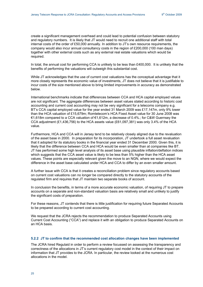<span id="page-24-0"></span>create a significant management overhead and could lead to potential confusion between statutory and regulatory numbers. It is likely that JT would need to recruit one additional staff with total internal costs of the order of £50,000 annually. In addition to JT's own resource requirements, the company would also incur annual consultancy costs in the region of £200,000 (100 man days) together with other external costs such as any external real estate valuations which would be required.

In total, the annual cost for performing CCA is unlikely to be less than £400,000. It is unlikely that the benefits of performing the valuations will outweigh this substantial cost.

While JT acknowledges that the use of current cost valuations has the conceptual advantage that it more closely represents the economic value of investments, JT does not believe that it is justifiable to incur costs of the size mentioned above to bring limited improvements in accuracy as demonstrated below.

International benchmarks indicate that differences between CCA and HCA capital employed values are not significant. The aggregate differences between asset values stated according to historic cost accounting and current cost accounting may not be very significant for a telecoms company e.g. BT's CCA capital employed value for the year ended 31 March 2009 was £17,147m, only 9% lower than the HCA valuation of £15,679m; Romtelecom's HCA Fixed Asset value for 30 June 2008 was €1,618m compared to a CCA valuation of €1,612m, a decrease of 0.4%.; for C&W Guernsey the CCA adjustment  $(E1,436,756)$  to the HCA assets value  $(E61,097,381)$  was only 3.4% of the HCA value.

Furthermore, HCA and CCA will in Jersey tend to be relatively closely aligned due to the revaluation of the asset base in 2000. In preparation for its incorporation, JT undertook a full asset revaluation that it adopted for its statutory books in the financial year ended 31 December 2000. Given this, it is likely that the difference between CCA and HCA would be even smaller than at companies like BT. JT has performed some high level analysis of its asset base using plausible inflation/deflation indices which suggests that the CCA asset value is likely to be less than 5% higher than the HCA asset values. These points are especially relevant given the move to an NGN, where we would expect the difference in the asset base calculated under HCA and CCA to differ by an even smaller amount.

A further issue with CCA is that it creates a reconciliation problem since regulatory accounts based on current cost valuations can no longer be compared directly to the statutory accounts of the regulated firm and requires that JT maintain two separate books of account.

In conclusion the benefits, in terms of a more accurate economic valuation, of requiring JT to prepare accounts on a separate and non-standard valuation basis are relatively small and unlikely to justify the significant costs of preparation.

For these reasons, JT contends that there is little justification for requiring future Separated Accounts to be prepared according to current cost accounting.

We request that the JCRA rejects the recommendation to produce Separated Accounts using Current Cost Accounting ("CCA") and replace it with an obligation to produce Separated Accounts on an HCA basis.

#### **5.2.2 JT to confirm that the recommended cost allocation changes have been implemented**

The JCRA hired Regulaid in order to perform a review focussed on assessing the transparency and correctness of the allocations in JT's current regulatory cost model in the context of their impact on information that JT provides to the JCRA. In particular, the review looked at the numerous cost allocations in the model.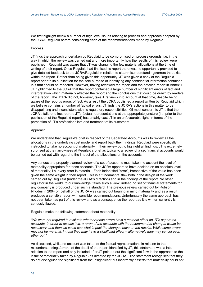We first highlight below a number of high level issues relating to process and approach adopted by the JCRA/Regulaid before considering each of the recommendations made by Regulaid.

#### Process

JT finds the approach undertaken by Regulaid to be compromised on process grounds: i.e. in the way in which the review was carried out and more importantly how the results of this review were published. Regulaid was aware that JT was changing the few material allocations at the time of writing of their report. Once Regulaid had finalised its report there was no opportunity provided to give detailed feedback to the JCRA/Regulaid in relation to clear misunderstandings/errors that exist within the report. Rather than being given this opportunity, JT was given a copy of the Regulaid report prior to its publication for the sole purpose of identifying any confidential information contained in it that should be redacted. However, having reviewed the report and the detailed report in Annex 1, JT highlighted to the JCRA that the report contained a large number of significant errors of fact and interpretation which materially affected the report and the conclusions that could be drawn by readers of the report. The JCRA did not, however, take JT's views into account at that time, despite being aware of the report's errors of fact. As a result the JCRA published a report written by Regulaid which we believe contains a number of factual errors. JT finds the JCRA's actions in this matter to be disappointing and inconsistent with its regulatory responsibilities. Of most concern to JT is that the JCRA's failure to incorporate JT's factual representations at the appropriate juncture (i.e. prior to the publication of the Regulaid report) has unfairly cast JT in an unfavourable light, in terms of the perception of JT's professionalism and treatment of its customers.

#### Approach

We understand that Regulaid's brief in respect of the Separated Accounts was to review all the allocations in the underlying cost model and report back their findings. Regulaid were specifically instructed to take no account of materiality in their review but to highlight all findings. JT is extremely surprised at the narrowness of Regulaid*'s* brief as typically, a review of a set financial accounts would be carried out with regard to the impact of the allocations on the accounts.

Any serious and properly planned review of a set of accounts must take into account the level of materiality appropriate for those accounts. The JCRA appears to have decided on an absolute level of materiality; i.e. every error is material.. Each indentified "error", irrespective of the value has been given the same weight in their report. This is a fundamental flaw both in the design of the work carried out by Regulaid (under the JCRA's direction) and in the findings of the report. No other regulator in the world, to our knowledge, takes such a view, indeed no set of financial statements for any company is produced under such a standard. The previous review carried out by Robson Rhodes in 2004 on behalf of the JCRA was carried out bearing in mind materiality and as a result produced a sensible report with sensible recommendations. Unfortunately the same approach has not been taken as part of this review and as a consequence the report as it is written currently is seriously flawed.

Regulaid make the following statement about materiality:

*"We were not required to evaluate whether these errors have a material effect on JT's separated accounts. In order to assess this, a rerun of the accounts with the recommended changes would be necessary, and then we could see what impact the changes have on the results. While some errors may not be material, in total they may have a significant effect – alternatively they may cancel each other out."* 

As discussed, whilst no account was taken of the factual representations in relation to the misunderstandings/errors, of the detail of the report identified by JT, this statement was a late addition to the report and only included after JT pointed out the significant flaw in the approach to the issue of materiality taken by Regulaid (as directed by the JCRA). The statement recognises that they do not distinguish the significant from the insignificant but incorrectly asserts that materiality could not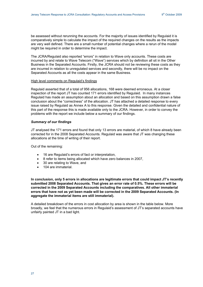be assessed without rerunning the accounts. For the majority of issues identified by Regulaid it is comparatively simple to calculate the impact of the required changes on the results as the impacts are very well defined. There are a small number of potential changes where a rerun of the model might be required in order to determine the impact.

The JCRA/Regulaid also reported "errors" in relation to Wave only accounts. These costs are incurred by and relate to Wave Telecom ("Wave") services which by definition all sit in the Other Business in the Separated Accounts. Firstly, the JCRA should not be reviewing these costs as they are incurred in relation to unregulated services and secondly, there will be no impact on the Separated Accounts as all the costs appear in the same Business.

#### High level comments on Regulaid's findings

Regulaid asserted that of a total of 956 allocations, 168 were deemed erroneous. At a closer inspection of the report JT has counted 171 errors identified by Regulaid*.* In many instances Regulaid has made an assumption about an allocation and based on this assumption drawn a false conclusion about the "correctness" of the allocation. JT has attached a detailed response to every issue raised by Regulaid as Annex A to this response. Given the detailed and confidential nature of this part of the response this is made available only to the JCRA. However, in order to convey the problems with the report we include below a summary of our findings.

#### *Summary of our findings*

JT analysed the 171 errors and found that only 13 errors are material, of which 8 have already been corrected for in the 2008 Separated Accounts. Regulaid was aware that JT was changing these allocations at the time of writing of their report.

Out of the remaining:

- 16 are Regulaid's errors of fact or interpretation,
- 8 refer to items being allocated which have zero balances in 2007,
- 30 are relating to Wave, and
- 104 are immaterial.

**In conclusion, only 5 errors in allocations are legitimate errors that could impact JT's recently submitted 2008 Separated Accounts. That gives an error rate of 0.5%. These errors will be corrected in the 2009 Separated Accounts including the comparatives. All other immaterial errors that have not as yet been made will be corrected in the 2009 Separated Accounts. (In aggregate the immaterial items are still immaterial).** 

A detailed breakdown of the errors in cost allocation by area is shown in the table below. More broadly, we feel that the numerous errors in Regulaid's assessment of JT's separated accounts have unfairly painted JT in a bad light.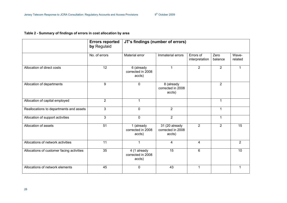# **Table 2 - Summary of findings of errors in cost allocation by area**

<span id="page-27-0"></span>

|                                           | <b>Errors reported</b><br>by Regulaid | JT's findings (number of errors)            |                                               |                             |                 |                  |
|-------------------------------------------|---------------------------------------|---------------------------------------------|-----------------------------------------------|-----------------------------|-----------------|------------------|
|                                           | No. of errors                         | Material error                              | Immaterial errors                             | Errors of<br>interpretation | Zero<br>balance | Wave-<br>related |
| Allocation of direct costs                | 12                                    | 6 (already<br>corrected in 2008<br>accts)   |                                               | $\overline{2}$              | $\overline{2}$  | 1                |
| Allocation of departments                 | 9                                     | $\mathbf 0$                                 | 8 (already<br>corrected in 2008<br>accts)     |                             | $\overline{2}$  |                  |
| Allocation of capital employed            | $\overline{2}$                        | 1                                           |                                               |                             | 1               |                  |
| Reallocations to departments and assets   | 3                                     | $\mathbf 0$                                 | $\overline{2}$                                |                             | 1               |                  |
| Allocation of support activities          | 3                                     | $\mathbf 0$                                 | $\overline{2}$                                |                             | $\mathbf{1}$    |                  |
| Allocation of assets                      | 51                                    | 1 (already<br>corrected in 2008<br>accts)   | 31 (20 already<br>corrected in 2008<br>accts) | $\overline{2}$              | $\overline{2}$  | 15               |
| Allocations of network activities         | 11                                    | 1                                           | 4                                             | 4                           |                 | $\overline{2}$   |
| Allocations of customer facing activities | 35                                    | 4 (1 already<br>corrected in 2008<br>accts) | 15                                            | 6                           |                 | 10               |
| Allocations of network elements           | 45                                    | $\mathbf 0$                                 | 43                                            | 1                           |                 | 1                |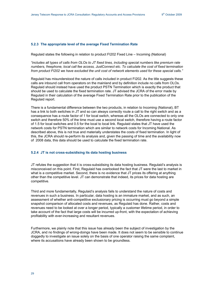### <span id="page-28-0"></span>**5.2.3 The appropriate level of the average Fixed Termination Rate**

Regulaid states the following in relation to product FI202 Fixed Line – Incoming (National)

*"includes all types of calls from OLOs to JT fixed lines, including special numbers like premium rate numbers, freephone, local call fee access, JustConnect etc. To calculate the cost of fixed termination from product FI202 we have excluded the unit cost of network elements used for these special calls."* 

Regulaid has misunderstood the nature of calls included in product FI202. As the title suggests these calls are inbound call from operators on the mainland and by definition include no calls from OLOs. Regulaid should instead have used the product PSTN Termination which is exactly the product that should be used to calculate the fixed termination rate. JT advised the JCRA of the error made by Regulaid in their calculation of the average Fixed Termination Rate prior to the publication of the Regulaid report.

There is a fundamental difference between the two products, in relation to Incoming (National), BT has a link to both switches in JT and so can always correctly route a call to the right switch and as a consequence has a route factor of 1 for local switch, whereas all the OLOs are connected to only one switch and therefore 50% of the time must use a second local switch, therefore having a route factor of 1.5 for local switches and 0.5 for the local to local link. Regulaid states that JT have used the network costs for PSTN termination which are similar to network costs for Incoming National. As described above, this is not true and materially understates the costs of fixed termination. In light of this, the JCRA should re-perform its analysis and, given the passing of time and the availability now of 2008 data, this data should be used to calculate the fixed termination rate.

### **5.2.4 JT is not cross-subsidising its data hosting business**

JT refutes the suggestion that it is cross-subsidising its data hosting business. Regulaid's analysis is misconceived on this point. First, Regulaid has overlooked the fact that JT were the last to market in what is a competitive market. Second, there is no evidence that JT prices its offering at anything other than the competitive level. JT can demonstrate that indeed, its prices for data hosting are competitive.

Third and more fundamentally, Regulaid's analysis fails to understand the nature of costs and revenues in such a business. In particular, data hosting is an immature market, and as such, an assessment of whether anti-competitive exclusionary pricing is occurring must go beyond a simple snapshot comparison of allocated costs and revenues, as Regulaid has done. Rather, costs and revenues need to be looked at over a longer period, typically a customer lifetime period, in order to take account of the fact that large costs will be incurred up-front, with the expectation of achieving profitability with ever-increasing and resultant revenues.

Furthermore, we plainly note that this issue has already been the subject of investigation by the JCRA, and no findings of wrong-doings have been made. It does not seem to be sensible to continue doggedly to investigate an issue solely on the basis of one operator raising the same complaint, where its accusations have already been shown to be groundless.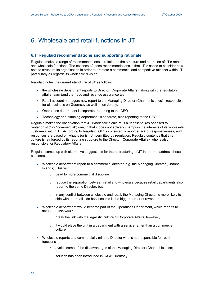# <span id="page-29-0"></span>6. Wholesale and retail functions in JT

# **6.1 Regulaid recommendations and supporting rationale**

Regulaid makes a range of recommendations in relation to the structure and operation of JT's retail and wholesale functions. The essence of these recommendations is that JT is asked to consider how best to structure its organisation in order to promote a commercial and competitive mindset within JT, particularly as regards its wholesale division.

Regulaid notes the current **structure of JT** as follows:

- the wholesale department reports to Director (Corporate Affairs), along with the regulatory affairs team (and the fraud and revenue assurance team)
- Retail account managers now report to the Managing Director (Channel Islands) responsible for all business on Guernsey as well as on Jersey.
- Operations department is separate, reporting to the CEO
- Technology and planning department is separate, also reporting to the CEO

Regulaid makes the observation that JT Wholesale's culture is a "legalistic" (as opposed to "antagonistic" or "commercial") one, in that it does not actively champion the interests of its wholesale customers within JT. According to Regulaid, OLOs consistently report a lack of responsiveness, and responses are based on what is (or is not) permitted by regulation. Regulaid contends that this culture is reinforced by its reporting structure to the Director (Corporate Affairs), who is also responsible for Regulatory Affairs.

Regulaid comes up with alternative suggestions for the restructuring of JT in order to address these concerns.

- Wholesale department report to a commercial director, e.g. the Managing Director (Channel Islands). This will:
	- o Lead to more commercial discipline
	- $\circ$  reduce the separation between retail and wholesale because retail departments also report to the same Director, but,
	- $\circ$  in any conflict between wholesale and retail, the Managing Director is more likely to side with the retail side because this is the bigger earner of revenues
- Wholesale department would become part of the Operations Department, which reports to the CEO. This would:
	- o break the link with the legalistic culture of Corporate Affairs, however,
	- $\circ$  it would place the unit in a department with a service rather than a commercial culture
- Wholesale reports to a commercially minded Director who is not responsible for retail functions
	- o avoids some of the disadvantages of the Managing Director (Channel Islands)
	- o solution has been introduced in C&W Guernsey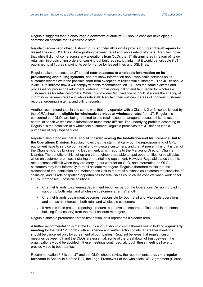Regulaid suggests that to encourage a **commercial culture**, JT should consider developing a commission scheme for its wholesale staff.

Regulaid recommends that JT should **publish total KPIs on its provisioning and fault repairs** for leased lines and DSL lines, distinguishing between retail and wholesale customers. Regulaid noted that while it did not come across any allegations from OLOs that JT discriminates in favour of its own retail arm in provisioning orders or carrying out fault repairs, it thinks that it would be valuable if JT published total figures showing its performance for leased lines and DSL lines.

Regulaid also proposes that JT should **restrict access to wholesale information on its provisioning and billing systems**, and not show information about wholesale services on its customer records (with the possible short term exception of residential customers). The JCRA should invite JT to indicate how it will comply with this recommendation. JT uses the same systems and processes for product development, ordering, provisioning, billing and fault repair for wholesale customers as for retail customers. While this provides "equivalence of input", it allows the sharing of information between retail and wholesale staff. Regulaid then outlines 3 areas of concern: customer records; ordering systems; and billing records.

Another recommendation in this series was that any operator with a Class 1, 2 or 3 licence issued by the JCRA should be **eligible for wholesale services at wholesale rates** from JT. Regulaid is concerned that OLOs are being required to use retail account managers, because this makes the control of sensitive wholesale information much more difficult. The underlying problem according to Regulaid is the definition of a wholesale customer: Regulaid perceives that JT defines it as a purchaser of regulated services.

Regulaid also proposes that JT should consider **moving the Installation and Maintenance Unit to the Operations Division**. Regulaid notes that the staff that carry out the reprogramming of CPE equipment have to service both retail and wholesale customers, and that at present this unit is part of the Channel Islands Engineering Department, which reports to the Managing Director (Channel Islands). The benefits of this set-up are that engineers are able to spot opportunities for retail sales when on customer premises installing or maintaining equipment. However Regulaid states that this role becomes difficult when they are carrying out work for an OLO, and information on OLO customers may leak informally to retail account managers. Regulaid therefore thinks that the closeness of the Installation and Maintenance Unit to the retail business could create the suspicion of collusion, and its role of spotting opportunities for retail sales could cause conflicts when working for OLOs. It proposes 3 possible solutions:

- Channel Islands Engineering department becomes part of the Operations Division, providing support to both retail and wholesale customers at arms' length
- Channel Islands department becomes responsible for both retail and wholesale operations, and so has an interest in both retail and wholesale customers
- it remains in its present reporting structure, but moves to separate offices (but in the same building if necessary) from the retail account managers.

Regulaid states a preference for the first option, as it represents a cleaner break.

A further recommendation is that the OLOs and JT should commit themselves to holding a **quarterly meeting** for the next 12 months with an agenda and written action points. Thereafter meetings should be cancelled only by agreement of both parties. Regulaid believes that regular liaison meetings between JT and the OLOs are essential: some of the breakdown of trust between the organisations would be avoided if these meetings continued, although these meetings have to provide value to both parties.

Recommendation 6.8 is that JT and the OLOs should review the requirements to **submit regular forecasts** in Schedule 4 of the RIO, the Legal Framework of the wholesale DSL Agreement (Clause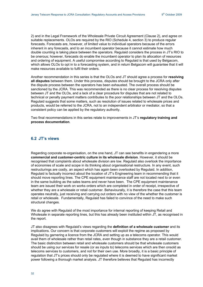<span id="page-31-0"></span>2) and in the Legal Framework of the Wholesale Private Circuit Agreement (Clause 2), and agree on suitable replacements. OLOs are required by the RIO (Schedule 4, section 3) to produce regular forecasts. Forecasts are, however, of limited value to individual operators because of the errors inherent in any forecasts, and to an incumbent operator because it cannot estimate how much double counting is taking place between the operators. Regulaid considers the process in JT's RIO to be onerous; however, forecasts do enable the incumbent operator to plan its allocation of resources and ordering of equipment. A useful compromise according to Regulaid is that used by Belgacom, which allows OLOs to opt in to a forecasting system, and in return Belgacom will guarantee that it will make resources available to fulfil their orders.

Another recommendation in this series is that the OLOs and JT should agree a process for **resolving all disputes** between them. Under this process, disputes should be brought to the JCRA only after the dispute process between the operators has been exhausted. The overall process should be sanctioned by the JCRA. This was recommended as there is no clear process for resolving disputes between JT and the OLOs, and a lack of a clear procedure for disputes that are not related to technical or penalty payment matters contributes to the poor relationships between JT and the OLOs. Regulaid suggests that some matters, such as resolution of issues related to wholesale prices and products, would be referred to the JCRA, not to an independent arbitrator or mediator, so that a consistent policy can be applied by the regulatory authority.

Two final recommendations in this series relate to improvements in JT's **regulatory training and process documentation**.

# **6.2 JT's views**

Regarding corporate re-organisation, on the one hand, JT can see benefits in engendering a more **commercial and customer-centric culture in its wholesale division**. However, it should be recognised that complaints about wholesale division are low. Regulaid also overlook the importance of economies of scale and scope in its thinking about organisational restructure. In any event, such restructurings are costly, an aspect which has again been overlooked by Regulaid. In addition, Regulaid is factually incorrect about the location of JT's Engineering team in recommending that it should move reporting lines. The CPE equipment maintenance staff are not located next to or even in the same building as the sales teams and never have been. The CPE equipment maintenance team are issued their work on works orders which are completed in order of receipt, irrespective of whether they are a wholesale or retail customer. Behaviourally, it is therefore the case that this team operates neutrally, just receiving and carrying out orders with no view of the whether the customer is retail or wholesale. Fundamentally, Regulaid has failed to convince of the need to make such structural changes.

We do agree with Regulaid of the most importance for internal reporting of keeping Retail and Wholesale in separate reporting lines, but this has already been instituted within JT, as recognised in the report.

JT also disagrees with Regulaid's views regarding the **definition of a wholesale customer** and its implications. Our concern is that corporate customers will exploit the regime as proposed by Regulaid by garnering a licence from the JCRA and setting up as a telecoms operator. This would avail them of wholesale rather than retail rates, even though in substance they are a retail customer. The basic distinction between retail and wholesale customers should be that wholesale customers should be using our services for resale (or as inputs to) telecoms services which are then onsold as telecoms services to customers, and not for their own use. More broadly, it is a basic principle of regulation that JT's prices should only be regulated where it is deemed to have significant market power following a thorough market analysis. JT therefore believes that Regulaid has incorrectly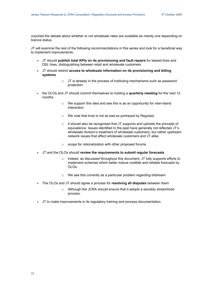couched the debate about whether or not wholesale rates are available as merely one depending on licence status.

JT will examine the rest of the following recommendations in this series and look for a beneficial way to implement improvements:

- JT should **publish total KPIs on its provisioning and fault repairs** for leased lines and DSL lines, distinguishing between retail and wholesale customers
- JT should restrict **access to wholesale information on its provisioning and billing systems** 
	- $\circ$  JT is already in the process of instituting mechanisms such as password protection
- the OLOs and JT should commit themselves to holding a **quarterly meeting** for the next 12 months
	- o We support this idea and see this is as an opportunity for inter-island interaction.
	- o We note that trust is not as bad as portrayed by Regulaid*.*
	- o It should also be recognised that JT supports and upholds the principle of equivalence. Issues identified in the past have generally not reflected JT's wholesale division's treatment of wholesale customers, but rather upstream network issues that affect wholesale customers and JT alike.
	- o scope for rationalization with other proposed forums
- JT and the OLOs should **review the requirements to submit regular forecasts**
	- Indeed, as discussed throughout this document, JT fully supports efforts to implement schemes which better induce credible and reliable forecasts by OLOs.
	- o We see this currently as a particular problem regarding bitstream
- The OLOs and JT should agree a process for **resolving all disputes** between them
	- o Although the JCRA should ensure that it adopts a sensibly streamlined process.
- JT to make improvements in its regulatory training and process documentation.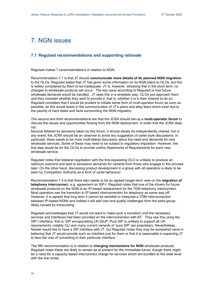# <span id="page-33-0"></span>7. NGN issues

# **7.1 Regulaid recommendations and supporting rationale**

Regulaid makes 7 recommendations in relation to NGN.

Recommendation 7.1 is that JT should **communicate more details of its planned NGN migration** to the OLOs. Regulaid states that JT has given some information on its NGN plans to OLOs, but this is widely considered by them to be inadequate. JT is, however, stressing that in the short term, no changes to wholesale products will occur. The key issue according to Regulaid is how future wholesale demands would be handled. JT sees this in a simplistic way: OLOs just approach them and they consider whether they wish to provide it; that is, whether it is in their interest to do so. Regulaid considers that it would be prudent to initiate some form of multi-operator forum as soon as possible, as this would assist in the communication of JT's plans and allay fears which exist due to the paucity of hard dates and facts surrounding the NGN migration.

The second and third recommendations are that the JCRA should set-up a **multi-operator forum** to discuss the issues and opportunities flowing from the NGN deployment. In order that the JCRA does not

become fettered by decisions taken by this forum, it should ideally be independently chaired, but in any event, the JCRA should be an observer to avoid any suggestion of cartel style discussions. In particular, there needs to be more multi-lateral discussion about the need and demands for new wholesale services. Some of these may need to be subject to regulatory imposition. However, the first step would be for the OLOs to provide outline Statements of Requirements for each new wholesale service.

Regulaid notes that bilateral negotiation with the first-requesting OLO is unlikely to produce an optimum outcome and lead to excessive demands for variants from those who engage in the process later. On the other hand, discussing product development in a group with all operators is likely to be seen by Competition Authority as a form of cartel behaviour.

Recommendation 7.4 is that there also needs to be an agreed longer-term view on the **migration of telephony interconnec**t, e.g. agreement on SIP-I. Regulaid notes that one of the drivers for future wholesale products on the NGN is an IP-based replacement for the TDM telephony interconnect. Most operators see the transition to IP based interconnection for telephony as some way off. However, it is agreed that long term it cannot be sensible to interpose a TDM interconnection between IP-based NGNs and indeed it will add cost and quality challenges from the extra groupdelay caused by transcoding.

Regulaid acknowledges that JT would not want to make such a transition until the necessary services and interfaces had been provided on the interconnection with BT. They see this using the SIP-I interface; that is, SIP encapsulating UK-ISUP. Pure SIP is unlikely to support all UK requirements, notably CLI and many current variants of 'pure SIP' are proprietary. Nevertheless, Newtel would like to have a SIP interface with JT, but Regulaid notes they may be somewhat naive in believing that JT would provide such an interface just for them or that it is reasonable in expecting JT to face the cost of converting to their particular interface.

The fifth recommendation is in relation to **charging mechanisms for NGN** wholesale products. Regulaid notes these are likely to remain as at present for the immediate future, though there might be a need for a capacity based interconnect charge for services which are bundled at the retail level with the line rental.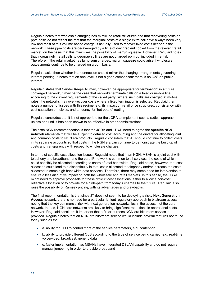Regulaid notes that wholesale charging has mimicked retail structures and that recovering costs on ppm basis do not reflect the fact that the marginal costs of a single extra call have always been very low and most of this volume based charge is actually used to recover fixed costs deeper in the network. These ppm costs are de-averaged by a time of day gradient copied from the relevant retail market, on the basis that this minimises the possibility of margin squeeze. However, Regulaid notes that increasingly, retail calls to geographic lines are not charged ppm but included in rental. Therefore, if the retail market has lump sum charges, margin squeeze could arise if wholesale outpayments continue to be charged on a ppm basis.

Regulaid asks then whether interconnection should mirror the charging arrangements governing internet peering. It notes that on one level, it not a good comparison: there is no QoS on public internet.

Regulaid states that Sender Keeps All may, however, be appropriate for termination: in a future converged network, it may be the case that networks terminate calls on a fixed or mobile line according to the current requirements of the called party. Where such calls are charged at mobile rates, the networks may over-recover costs where a fixed termination is selected. Regulaid then notes a number of issues with this regime, e.g. its impact on retail price structures, consistency with cost causation principles, and tendency for 'hot potato' routing.

Regulaid concludes that it is not appropriate for the JCRA to implement such a radical approach unless and until it has been shown to be effective in other administrations.

The sixth NGN recommendation is that the JCRA and JT will need to agree the **specific NGN network elements** that will be subject to detailed cost accounting and the drivers for allocating joint and common costs to NGN era products. Regulaid considers that JT should continue to collect costs in its separate accounts so that costs in the NGN era can continue to demonstrate the build up of costs and transparency with respect to wholesale charges.

In terms of specific cost allocation issues, Regulaid notes that in an NGN, MSAN is a joint cost with telephony and broadband, and the core IP network is common to all services, the costs of which could sensibly be allocated according to share of total bandwidth. Regulaid notes, however, that cost allocation could lead to a discontinuity in total costs allocated to telephony and/or increase the costs allocated to some high bandwidth data services. Therefore, there may some need for intervention to ensure a less disruptive impact on both the wholesale and retail markets. In this sense, the JCRA might need to approve proposals for these difficult cost allocations, either to allow a non-cost reflective allocation or to provide for a glide-path from today's charges to the future. Regulaid also raise the possibility of Ramsey pricing, with its advantages and drawbacks.

The final recommendation is that since JT does not seem to be deploying a risky **Next Generation Access** network, there is no need for a particular lenient regulatory approach to bitstream access, noting that the key commercial risk with next generation networks lies in the access not the core network. Indeed, NGN core networks are likely to bring significant reductions in operational costs. However, Regulaid considers it important that a fit-for-purpose NGN era bitstream service is provided. Regulaid notes that an NGN era bitstream service would include several features not found today such as the :

- a. ability for OLO to control more of the service parameters, e.g. contention
- b. ability to provide different QoS according to the type of service being carried, e.g. real-time voice/video, broadcast, generic data
- c. faster implementation, as MSANs have integrated DSLAM capability and do not require manual jumpering in order to provide broadband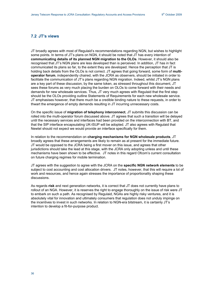# <span id="page-35-0"></span>**7.2 JT's views**

JT broadly agrees with most of Regulaid's recommendations regarding NGN, but wishes to highlight some points. In terms of JT's plans on NGN, it should be noted that JT has every intention of **communicating details of its planned NGN migration to the OLOs**. However, it should also be recognised that JT's NGN plans are less developed than is perceived. In addition, JT has in fact communicated its plans so far, to the extent they are developed. Hence the perception that JT is holding back details from the OLOs is not correct. JT agrees that going forward, some form of **multioperator forum**, independently chaired, with the JCRA as observers, should be initiated in order to facilitate the communication of JT's plans regarding NGN migration. Indeed, whilst JT's NGN plans are a key part of these discussion, by the same token, as stressed throughout this document, JT sees these forums as very much placing the burden on OLOs to come forward with their needs and demands for new wholesale services. Thus, JT very much agrees with Regulaid that the first step should be the OLOs providing outline Statements of Requirements for each new wholesale service. JT emphasises however, that there much be a credible binding nature to these requests, in order to thwart the emergence of empty demands resulting in JT incurring unnecessary costs.

On the specific issue of **migration of telephony interconnect**, JT submits this discussion can be rolled into the multi-operator forum discussed above. JT agrees that such a transition will be delayed until the necessary services and interfaces had been provided on the interconnection with BT, and that the SIP interface encapsulating UK-ISUP will be adopted. JT also agrees with Regulaid that Newtel should not expect we would provide an interface specifically for them.

In relation to the recommendation on **charging mechanisms for NGN wholesale products**, JT broadly agrees that these arrangements are likely to remain as at present for the immediate future. JT would be opposed to the JCRA being a first mover on this issue, and agrees that other jurisdictions should take the lead at this stage, with the JCRA only adopting unless and until these mechanisms have been shown to be effective. JT notes in this regard Ofcom's current consultation on future charging regimes for mobile termination.

JT agrees with the suggestion to agree with the JCRA on the **specific NGN network elements** to be subject to cost accounting and cost allocation drivers. JT notes, however, that this will require a lot of work and resources, and hence again stresses the importance of proportionality shaping these discussions.

As regards **risk** and next generation networks, it is correct that JT does not currently have plans to rollout of an NGA. However, it is reserves the right to engage thoroughly on the issue of risk were JT to embark on such a path. As recognised by Regulaid, NGAs are highly risky ventures, and it is absolutely vital for innovation and ultimately consumers that regulation does not unduly impinge on the incentives to invest in such networks. In relation to NGN-era bitstream, it is certainly JT's intention to develop a fit-for-purpose product.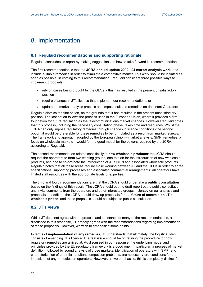# <span id="page-36-0"></span>8. Implementation

## **8.1 Regulaid recommendations and supporting rationale**

Regulaid concludes its report by making suggestions on how to take forward its recommendations.

The first recommendation is that the **JCRA should update 2002 - 04 market analysis work**, and include suitable remedies in order to stimulate a competitive market. This work should be initiated as soon as possible. In coming to this recommendation, Regulaid considers three possible ways to implement proposals:

- rely on cases being brought by the OLOs this has resulted in the present unsatisfactory position
- require changes in JT's licence that implement our recommendations, or
- update the market analysis process and impose suitable remedies on dominant Operators

Regulaid dismiss the first option, on the grounds that it has resulted in the present unsatisfactory position. The last option follows the process used in the European Union, where it provides a firm foundation for future regulation as the telecommunications market changes. However Regulaid notes that this process, including the necessary consultation phase, takes time and resources. Whilst the JCRA can only impose regulatory remedies through changes in licence conditions (the second option) it would be preferable for these remedies to be formulated as a result from market reviews. The framework and approach adopted by the European Union – market analysis, SMP, remedies, a focus on wholesale markets – would form a good model for the powers required by the JCRA, according to Regulaid.

The second recommendation relates specifically to **new wholesale products**: the JCRA should request the operators to form two working groups, one to plan for the introduction of new wholesale products, and one to co-ordinate the introduction of JT's NGN and associated wholesale products. Regulaid notes that all these areas require close working between JT and the OLOs in order to agree specifications, supporting processes and associated commercial arrangements. All operators have limited staff resources with the appropriate levels of expertise.

The third and fourth recommendations are that the JCRA should undertake a **public consultation** based on the findings of this report. The JCRA should put the draft report out to public consultation, and invite comments from the operators and other interested groups in Jersey on our analysis and proposals. In addition, the JCRA should draw up proposals for the **future of controls on JT's wholesale prices**, and these proposals should be subject to public consultation.

# **8.2 JT's views**

Whilst JT does not agree with the process and substance of many of the recommendations, as discussed in this response, JT broadly agrees with the recommendations regarding implementation of these proposals. However, we wish to emphasise some points.

In terms of **implementation of any remedies**, JT understands that ultimately, the logistical step consists of amending JT's licence. The real issue should be on refining the procedure for how regulatory remedies are arrived at. As discussed in our response, the underlying model and principles provided by the EU regulatory framework is a good one. In particular, a process of market definition, followed by sound analysis of those markets, identification of operators with SMP, and characterisation of potential resultant competition problems, are necessary pre-conditions for the imposition of any remedies on operators. However, as we emphasise, this is completely distinct from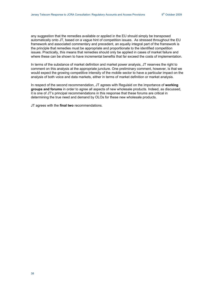any suggestion that the remedies available or applied in the EU should simply be transposed automatically onto JT, based on a vague hint of competition issues. As stressed throughout the EU framework and associated commentary and precedent, an equally integral part of the framework is the principle that remedies must be appropriate and proportionate to the identified competition issues. Practically, this means that remedies should only be applied in cases of market failure and where these can be shown to have incremental benefits that far exceed the costs of implementation.

In terms of the substance of market definition and market power analysis, JT reserves the right to comment on this analysis at the appropriate juncture. One preliminary comment, however, is that we would expect the growing competitive intensity of the mobile sector to have a particular impact on the analysis of both voice and data markets, either in terms of market definition or market analysis.

In respect of the second recommendation, JT agrees with Regulaid on the importance of **working groups and forums** in order to agree all aspects of new wholesale products. Indeed, as discussed, it is one of JT's principal recommendations in this response that these forums are critical in determining the true need and demand by OLOs for these new wholesale products.

JT agrees with the **final two** recommendations.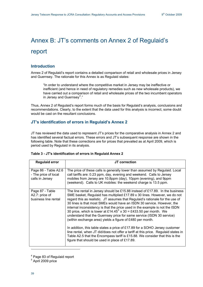# <span id="page-38-0"></span>Annex B: JT's comments on Annex 2 of Regulaid's report

# **Introduction**

Annex 2 of Regulaid's report contains a detailed comparison of retail and wholesale prices in Jersey and Guernsey. The rationale for this Annex is as Regulaid states:

"In order to understand where the competitive market in Jersey may be ineffective or inefficient (and hence in need of regulatory remedies such as new wholesale products), we have carried out a comparison of retail and wholesale prices of the two incumbent operators in Jersey and Guernsey<sup>[4](#page-38-0)</sup>."

Thus, Annex 2 of Regulaid's report forms much of the basis for Regulaid's analysis, conclusions and recommendations. Clearly, to the extent that the data used for this analysis is incorrect, some doubt would be cast on the resultant conclusions.

# **JT's identification of errors in Regulaid's Annex 2**

JT has reviewed the data used to represent JT's prices for the comparative analysis in Annex 2 and has identified several factual errors. These errors and JT's subsequent response are shown in the following table. Note that these corrections are for prices that prevailed as at April 2009, which is period used by Regulaid in its analysis.

| <b>Regulaid error</b>                                           | JT correction                                                                                                                                                                                                                                                                                                                                                                                                                                                                                                                                                                                                                                                                                                                                                                                                                                                                                                                      |
|-----------------------------------------------------------------|------------------------------------------------------------------------------------------------------------------------------------------------------------------------------------------------------------------------------------------------------------------------------------------------------------------------------------------------------------------------------------------------------------------------------------------------------------------------------------------------------------------------------------------------------------------------------------------------------------------------------------------------------------------------------------------------------------------------------------------------------------------------------------------------------------------------------------------------------------------------------------------------------------------------------------|
| Page 86 - Table A2.6<br>- The price of local<br>calls in Jersey | The price of these calls is generally lower than assumed by Regulaid. Local<br>call tariffs are: 0.23 ppm, day, evening and weekend. Calls to Jersey<br>mobiles from Jersey are 10.8ppm (day), 10ppm (evening), and 9ppm<br>(weekend). Calls to UK mobiles: the weekend charge is 13.5 ppm.                                                                                                                                                                                                                                                                                                                                                                                                                                                                                                                                                                                                                                        |
| Page 87 - Table<br>A2.7: price of<br>business line rental       | The line rental in Jersey should be £15.88 instead of £17.89. In the business<br>SME basket, Regulaid has multiplied £17.89 x 30 lines. However, we do not<br>regard this as realistic. JT assumes that Regulaid's rationale for the use of<br>30 lines is that most SMEs would have an ISDN 30 service. However, the<br>internal inconsistency is that the price used in the example is not the ISDN<br>30 price, which is lower at £14.45 <sup>5</sup> x 30 = £433.50 per month. We<br>understand that the Guernsey price for same service (ISDN 30 service)<br>(within exchange area) yields a figure of £480 per month.<br>In addition, this table states a price of £17.89 for a SOHO Jersey customer<br>line rental, when JT did/does not offer a tariff at this price. Regulaid states in<br>Table A2.5 that the Encompass tariff is £15.88. We consider that this is the<br>figure that should be used in place of £17.89. |

### **Table 3 - JT's identification of errors in Regulaid Annex 2**

-

<sup>&</sup>lt;sup>4</sup> Page 83 of Regulaid report

<sup>5</sup> April 2009 price